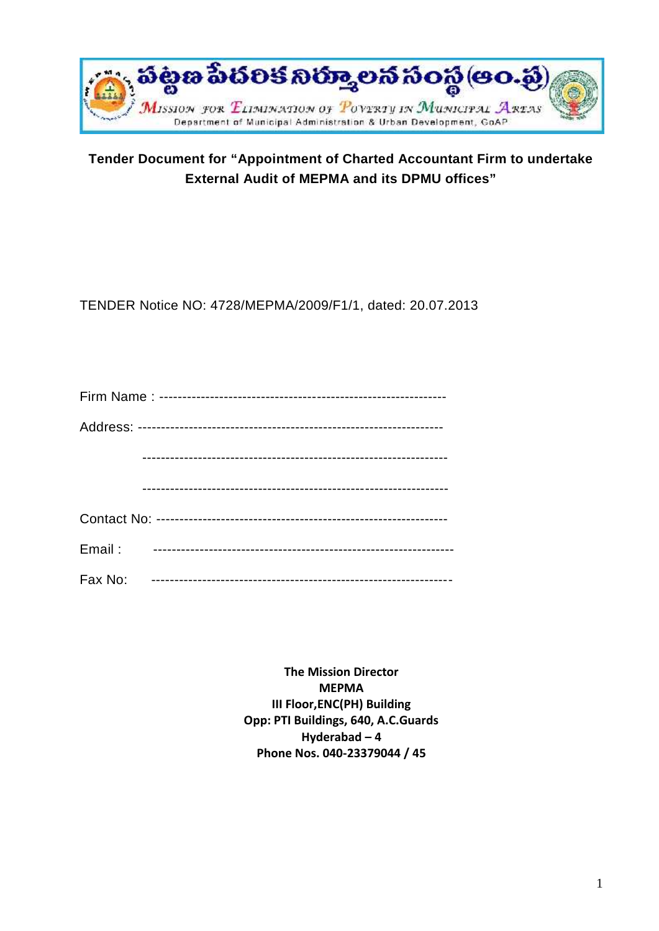

# **Tender Document for "Appointment of Charted Accountant Firm to undertake External Audit of MEPMA and its DPMU offices"**

TENDER Notice NO: 4728/MEPMA/2009/F1/1, dated: 20.07.2013

| Email:  |  |
|---------|--|
| Fax No: |  |

**The Mission Director MEPMA III Floor,ENC(PH) Building Opp: PTI Buildings, 640, A.C.Guards Hyderabad – 4 Phone Nos. 040-23379044 / 45**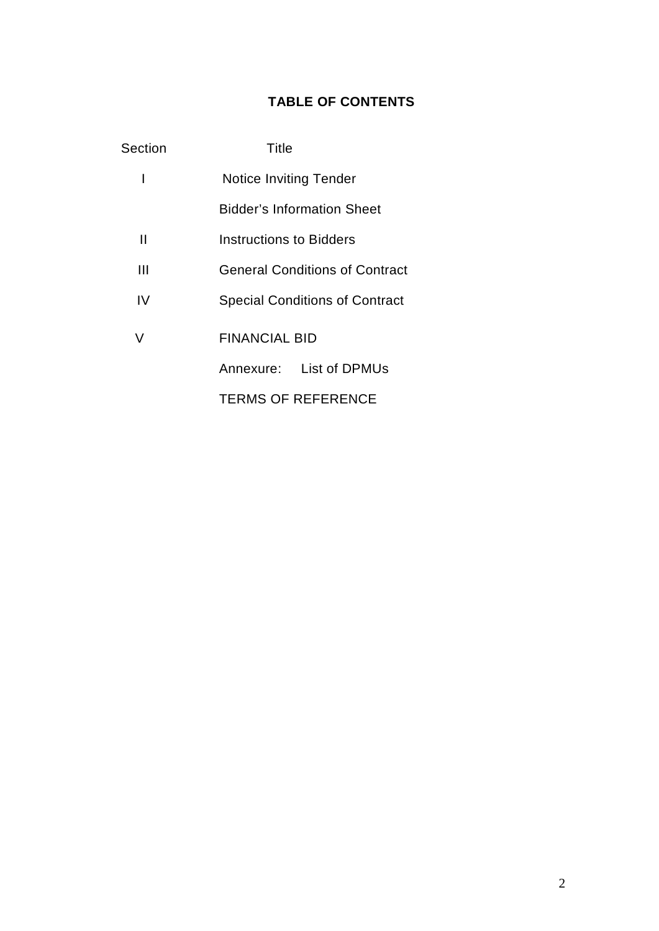# **TABLE OF CONTENTS**

| Section | Title                                 |  |
|---------|---------------------------------------|--|
| I       | <b>Notice Inviting Tender</b>         |  |
|         | <b>Bidder's Information Sheet</b>     |  |
| Ш       | <b>Instructions to Bidders</b>        |  |
| Ш       | <b>General Conditions of Contract</b> |  |
| IV      | <b>Special Conditions of Contract</b> |  |
| V       | FINANCIAL BID                         |  |
|         | Annexure: List of DPMUs               |  |
|         | <b>TERMS OF REFERENCE</b>             |  |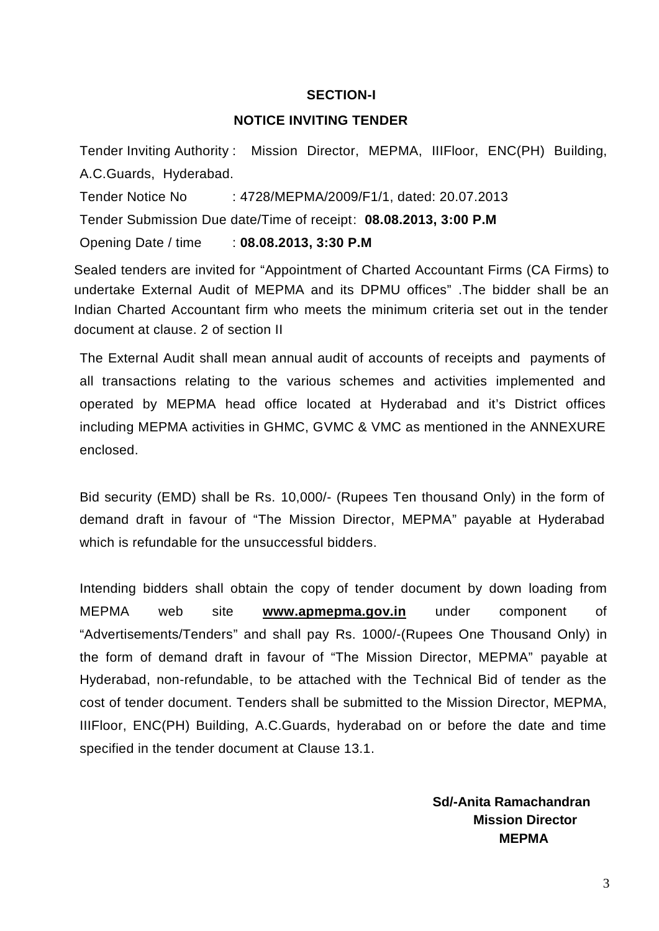### **SECTION-I**

### **NOTICE INVITING TENDER**

Tender Inviting Authority : Mission Director, MEPMA, IIIFloor, ENC(PH) Building, A.C.Guards, Hyderabad.

Tender Notice No : 4728/MEPMA/2009/F1/1, dated: 20.07.2013

Tender Submission Due date/Time of receipt: **08.08.2013, 3:00 P.M**

Opening Date / time : **08.08.2013, 3:30 P.M**

Sealed tenders are invited for "Appointment of Charted Accountant Firms (CA Firms) to undertake External Audit of MEPMA and its DPMU offices" .The bidder shall be an Indian Charted Accountant firm who meets the minimum criteria set out in the tender document at clause. 2 of section II

The External Audit shall mean annual audit of accounts of receipts and payments of all transactions relating to the various schemes and activities implemented and operated by MEPMA head office located at Hyderabad and it's District offices including MEPMA activities in GHMC, GVMC & VMC as mentioned in the ANNEXURE enclosed.

Bid security (EMD) shall be Rs. 10,000/- (Rupees Ten thousand Only) in the form of demand draft in favour of "The Mission Director, MEPMA" payable at Hyderabad which is refundable for the unsuccessful bidders.

Intending bidders shall obtain the copy of tender document by down loading from MEPMA web site **www.apmepma.gov.in** under component of "Advertisements/Tenders" and shall pay Rs. 1000/-(Rupees One Thousand Only) in the form of demand draft in favour of "The Mission Director, MEPMA" payable at Hyderabad, non-refundable, to be attached with the Technical Bid of tender as the cost of tender document. Tenders shall be submitted to the Mission Director, MEPMA, IIIFloor, ENC(PH) Building, A.C.Guards, hyderabad on or before the date and time specified in the tender document at Clause 13.1.

> **Sd/-Anita Ramachandran Mission Director MEPMA**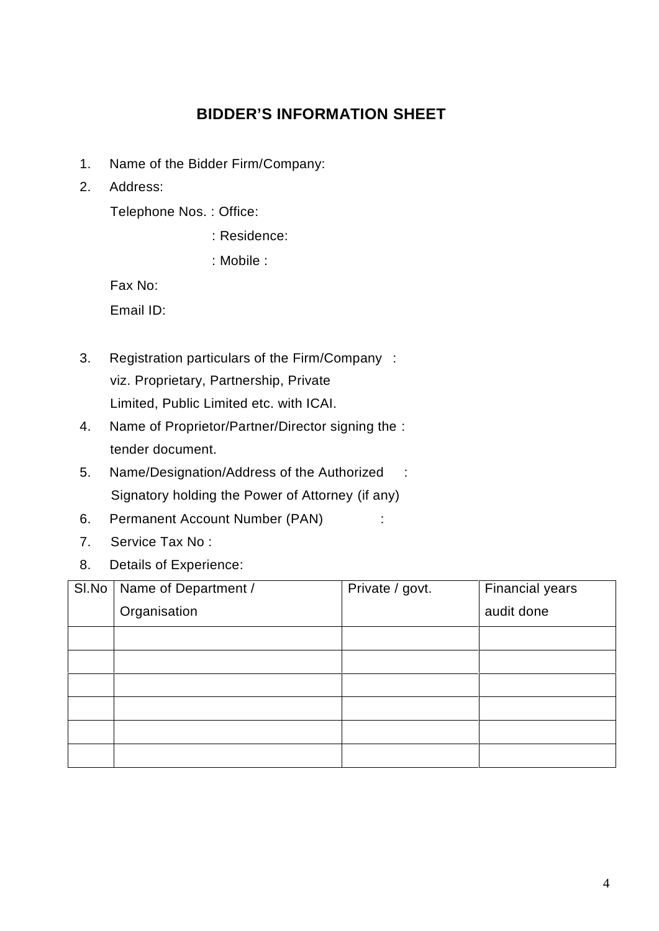# **BIDDER'S INFORMATION SHEET**

- 1. Name of the Bidder Firm/Company:
- 2. Address:

Telephone Nos. : Office:

: Residence:

: Mobile :

Fax No:

Email ID:

- 3. Registration particulars of the Firm/Company : viz. Proprietary, Partnership, Private Limited, Public Limited etc. with ICAI.
- 4. Name of Proprietor/Partner/Director signing the : tender document.
- 5. Name/Designation/Address of the Authorized : Signatory holding the Power of Attorney (if any)
- 6. Permanent Account Number (PAN) :
- 7. Service Tax No :
- 8. Details of Experience:

| SI.No | Name of Department / | Private / govt. | Financial years |
|-------|----------------------|-----------------|-----------------|
|       | Organisation         |                 | audit done      |
|       |                      |                 |                 |
|       |                      |                 |                 |
|       |                      |                 |                 |
|       |                      |                 |                 |
|       |                      |                 |                 |
|       |                      |                 |                 |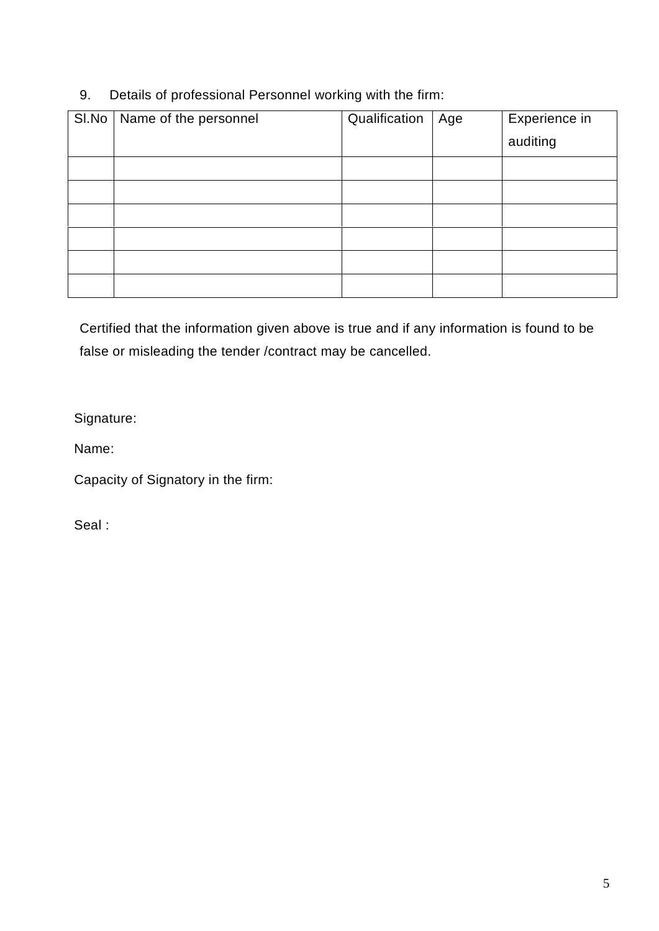# 9. Details of professional Personnel working with the firm:

| SI.No | Name of the personnel | Qualification | Age | Experience in<br>auditing |
|-------|-----------------------|---------------|-----|---------------------------|
|       |                       |               |     |                           |
|       |                       |               |     |                           |
|       |                       |               |     |                           |
|       |                       |               |     |                           |
|       |                       |               |     |                           |
|       |                       |               |     |                           |

Certified that the information given above is true and if any information is found to be false or misleading the tender /contract may be cancelled.

Signature:

Name:

Capacity of Signatory in the firm:

Seal :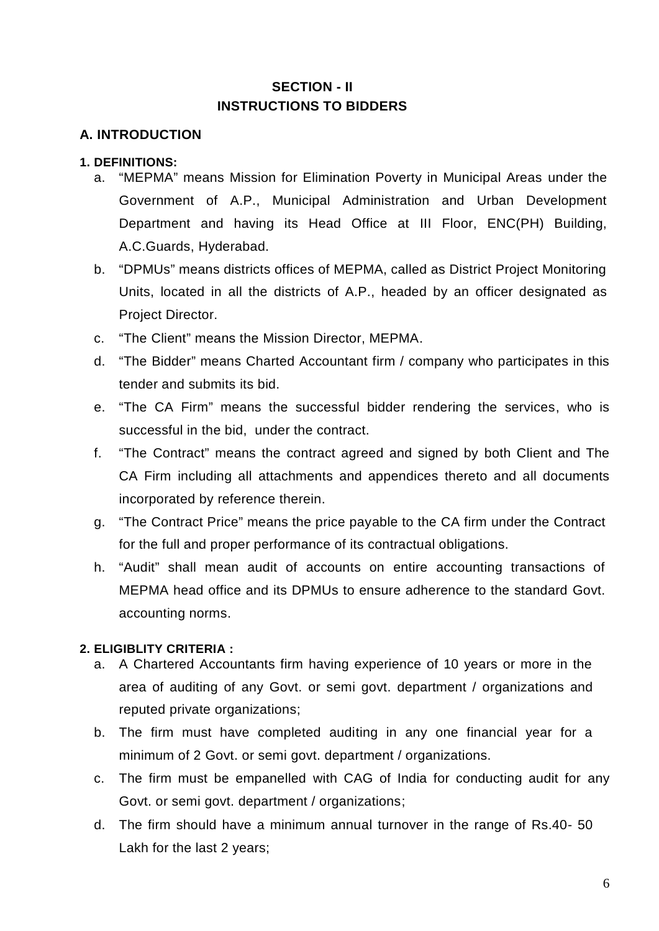# **SECTION - II INSTRUCTIONS TO BIDDERS**

# **A. INTRODUCTION**

### **1. DEFINITIONS:**

- a. "MEPMA" means Mission for Elimination Poverty in Municipal Areas under the Government of A.P., Municipal Administration and Urban Development Department and having its Head Office at III Floor, ENC(PH) Building, A.C.Guards, Hyderabad.
- b. "DPMUs" means districts offices of MEPMA, called as District Project Monitoring Units, located in all the districts of A.P., headed by an officer designated as Project Director.
- c. "The Client" means the Mission Director, MEPMA.
- d. "The Bidder" means Charted Accountant firm / company who participates in this tender and submits its bid.
- e. "The CA Firm" means the successful bidder rendering the services, who is successful in the bid, under the contract.
- f. "The Contract" means the contract agreed and signed by both Client and The CA Firm including all attachments and appendices thereto and all documents incorporated by reference therein.
- g. "The Contract Price" means the price payable to the CA firm under the Contract for the full and proper performance of its contractual obligations.
- h. "Audit" shall mean audit of accounts on entire accounting transactions of MEPMA head office and its DPMUs to ensure adherence to the standard Govt. accounting norms.

### **2. ELIGIBLITY CRITERIA :**

- a. A Chartered Accountants firm having experience of 10 years or more in the area of auditing of any Govt. or semi govt. department / organizations and reputed private organizations;
- b. The firm must have completed auditing in any one financial year for a minimum of 2 Govt. or semi govt. department / organizations.
- c. The firm must be empanelled with CAG of India for conducting audit for any Govt. or semi govt. department / organizations;
- d. The firm should have a minimum annual turnover in the range of Rs.40- 50 Lakh for the last 2 years;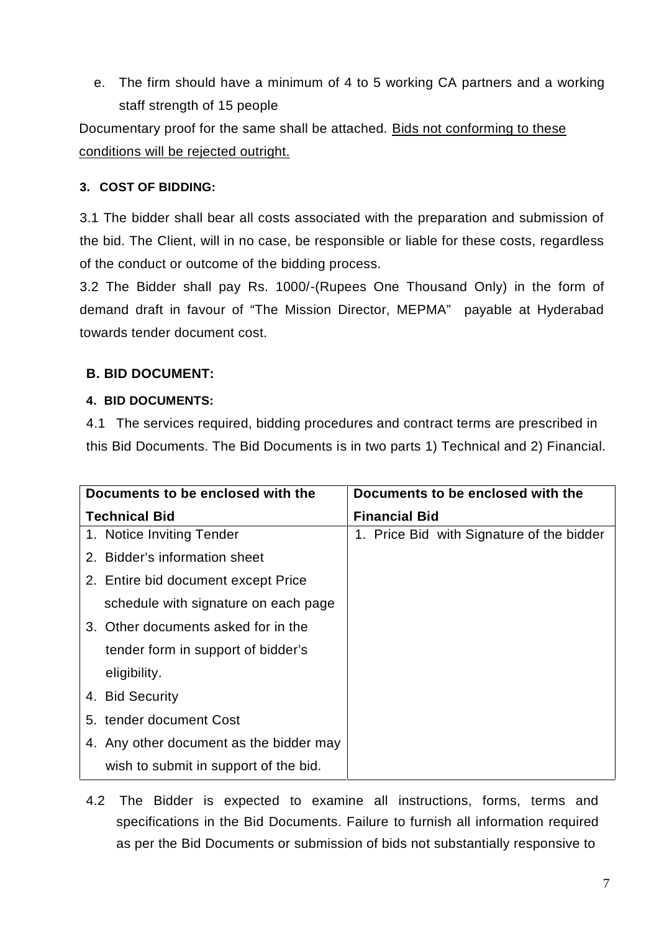e. The firm should have a minimum of 4 to 5 working CA partners and a working staff strength of 15 people

Documentary proof for the same shall be attached. Bids not conforming to these conditions will be rejected outright.

# **3. COST OF BIDDING:**

3.1 The bidder shall bear all costs associated with the preparation and submission of the bid. The Client, will in no case, be responsible or liable for these costs, regardless of the conduct or outcome of the bidding process.

3.2 The Bidder shall pay Rs. 1000/-(Rupees One Thousand Only) in the form of demand draft in favour of "The Mission Director, MEPMA" payable at Hyderabad towards tender document cost.

# **B. BID DOCUMENT:**

# **4. BID DOCUMENTS:**

4.1 The services required, bidding procedures and contract terms are prescribed in this Bid Documents. The Bid Documents is in two parts 1) Technical and 2) Financial.

| Documents to be enclosed with the       | Documents to be enclosed with the         |  |  |  |
|-----------------------------------------|-------------------------------------------|--|--|--|
| <b>Technical Bid</b>                    | <b>Financial Bid</b>                      |  |  |  |
| 1. Notice Inviting Tender               | 1. Price Bid with Signature of the bidder |  |  |  |
| 2. Bidder's information sheet           |                                           |  |  |  |
| 2. Entire bid document except Price     |                                           |  |  |  |
| schedule with signature on each page    |                                           |  |  |  |
| 3. Other documents asked for in the     |                                           |  |  |  |
| tender form in support of bidder's      |                                           |  |  |  |
| eligibility.                            |                                           |  |  |  |
| 4. Bid Security                         |                                           |  |  |  |
| 5. tender document Cost                 |                                           |  |  |  |
| 4. Any other document as the bidder may |                                           |  |  |  |
| wish to submit in support of the bid.   |                                           |  |  |  |

4.2 The Bidder is expected to examine all instructions, forms, terms and specifications in the Bid Documents. Failure to furnish all information required as per the Bid Documents or submission of bids not substantially responsive to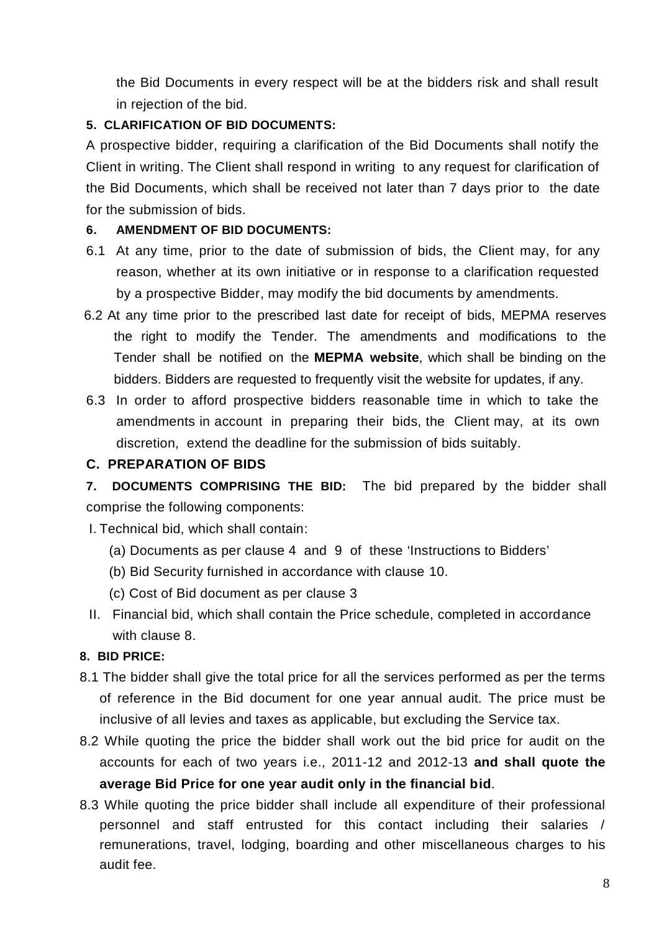the Bid Documents in every respect will be at the bidders risk and shall result in rejection of the bid.

# **5. CLARIFICATION OF BID DOCUMENTS:**

A prospective bidder, requiring a clarification of the Bid Documents shall notify the Client in writing. The Client shall respond in writing to any request for clarification of the Bid Documents, which shall be received not later than 7 days prior to the date for the submission of bids.

# **6. AMENDMENT OF BID DOCUMENTS:**

- 6.1 At any time, prior to the date of submission of bids, the Client may, for any reason, whether at its own initiative or in response to a clarification requested by a prospective Bidder, may modify the bid documents by amendments.
- 6.2 At any time prior to the prescribed last date for receipt of bids, MEPMA reserves the right to modify the Tender. The amendments and modifications to the Tender shall be notified on the **MEPMA website**, which shallbe binding on the bidders. Bidders are requested to frequently visit the website for updates, if any.
- 6.3 In order to afford prospective bidders reasonable time in which to take the amendments in account in preparing their bids, the Client may, at its own discretion, extend the deadline for the submission of bids suitably.

# **C. PREPARATION OF BIDS**

**7. DOCUMENTS COMPRISING THE BID:** The bid prepared by the bidder shall comprise the following components:

I. Technical bid, which shall contain:

- (a) Documents as per clause 4 and 9 of these 'Instructions to Bidders'
- (b) Bid Security furnished in accordance with clause 10.
- (c) Cost of Bid document as per clause 3
- II. Financial bid, which shall contain the Price schedule, completed in accordance with clause 8.

# **8. BID PRICE:**

- 8.1 The bidder shall give the total price for all the services performed as per the terms of reference in the Bid document for one year annual audit. The price must be inclusive of all levies and taxes as applicable, but excluding the Service tax.
- 8.2 While quoting the price the bidder shall work out the bid price for audit on the accounts for each of two years i.e., 2011-12 and 2012-13 **and shall quote the average Bid Price for one year audit only in the financial bid**.
- 8.3 While quoting the price bidder shall include all expenditure of their professional personnel and staff entrusted for this contact including their salaries / remunerations, travel, lodging, boarding and other miscellaneous charges to his audit fee.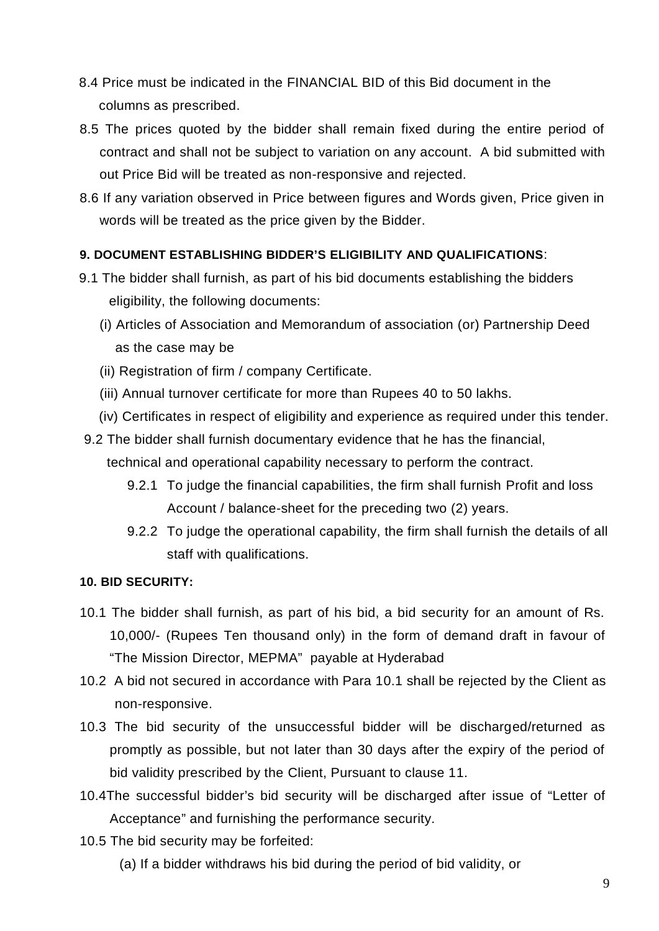- 8.4 Price must be indicated in the FINANCIAL BID of this Bid document in the columns as prescribed.
- 8.5 The prices quoted by the bidder shall remain fixed during the entire period of contract and shall not be subject to variation on any account. A bid submitted with out Price Bid will be treated as non-responsive and rejected.
- 8.6 If any variation observed in Price between figures and Words given, Price given in words will be treated as the price given by the Bidder.

# **9. DOCUMENT ESTABLISHING BIDDER'S ELIGIBILITY AND QUALIFICATIONS**:

- 9.1 The bidder shall furnish, as part of his bid documents establishing the bidders eligibility, the following documents:
	- (i) Articles of Association and Memorandum of association (or) Partnership Deed as the case may be
	- (ii) Registration of firm / company Certificate.
	- (iii) Annual turnover certificate for more than Rupees 40 to 50 lakhs.
	- (iv) Certificates in respect of eligibility and experience as required under this tender.
- 9.2 The bidder shall furnish documentary evidence that he has the financial, technical and operational capability necessary to perform the contract.
	- 9.2.1 To judge the financial capabilities, the firm shall furnish Profit and loss Account / balance-sheet for the preceding two (2) years.
	- 9.2.2 To judge the operational capability, the firm shall furnish the details of all staff with qualifications.

# **10. BID SECURITY:**

- 10.1 The bidder shall furnish, as part of his bid, a bid security for an amount of Rs. 10,000/- (Rupees Ten thousand only) in the form of demand draft in favour of "The Mission Director, MEPMA" payable at Hyderabad
- 10.2 A bid not secured in accordance with Para 10.1 shall be rejected by the Client as non-responsive.
- 10.3 The bid security of the unsuccessful bidder will be discharged/returned as promptly as possible, but not later than 30 days after the expiry of the period of bid validity prescribed by the Client, Pursuant to clause 11.
- 10.4The successful bidder's bid security will be discharged after issue of "Letter of Acceptance" and furnishing the performance security.
- 10.5 The bid security may be forfeited:
	- (a) If a bidder withdraws his bid during the period of bid validity, or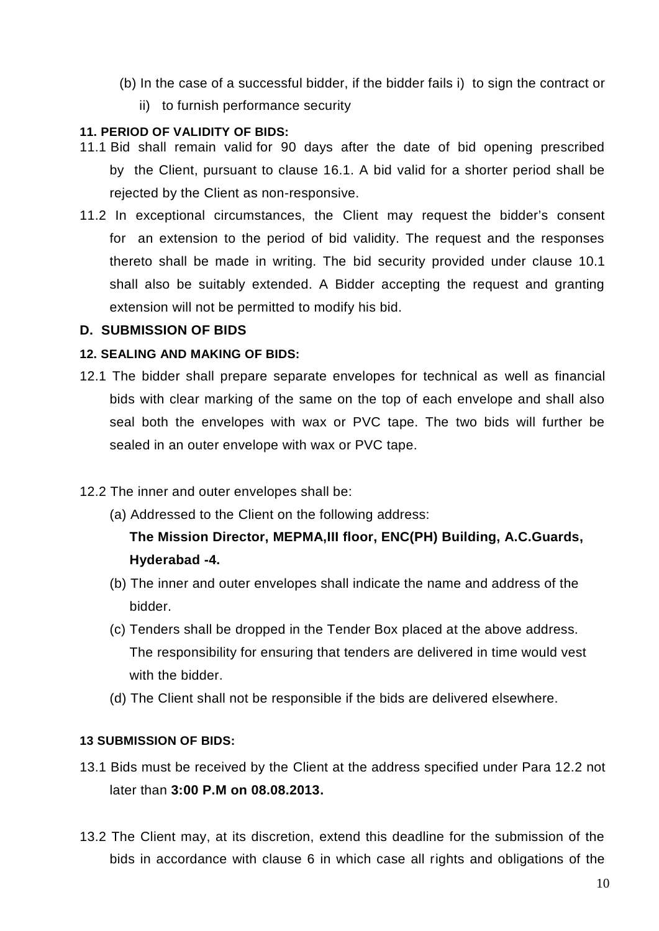- (b) In the case of a successful bidder, if the bidder fails i) to sign the contract or
	- ii) to furnish performance security

### **11. PERIOD OF VALIDITY OF BIDS:**

- 11.1 Bid shall remain valid for 90 days after the date of bid opening prescribed by the Client, pursuant to clause 16.1. A bid valid for a shorter period shall be rejected by the Client as non-responsive.
- 11.2 In exceptional circumstances, the Client may request the bidder's consent for an extension to the period of bid validity. The request and the responses thereto shall be made in writing. The bid security provided under clause 10.1 shall also be suitably extended. A Bidder accepting the request and granting extension will not be permitted to modify his bid.

### **D. SUBMISSION OF BIDS**

### **12. SEALING AND MAKING OF BIDS:**

12.1 The bidder shall prepare separate envelopes for technical as well as financial bids with clear marking of the same on the top of each envelope and shall also seal both the envelopes with wax or PVC tape. The two bids will further be sealed in an outer envelope with wax or PVC tape.

# 12.2 The inner and outer envelopes shall be:

(a) Addressed to the Client on the following address:

# **The Mission Director, MEPMA,III floor, ENC(PH) Building, A.C.Guards, Hyderabad -4.**

- (b) The inner and outer envelopes shall indicate the name and address of the bidder.
- (c) Tenders shall be dropped in the Tender Box placed at the above address. The responsibility for ensuring that tenders are delivered in time would vest with the bidder.
- (d) The Client shall not be responsible if the bids are delivered elsewhere.

### **13 SUBMISSION OF BIDS:**

- 13.1 Bids must be received by the Client at the address specified under Para 12.2 not later than **3:00 P.M on 08.08.2013.**
- 13.2 The Client may, at its discretion, extend this deadline for the submission of the bids in accordance with clause 6 in which case all rights and obligations of the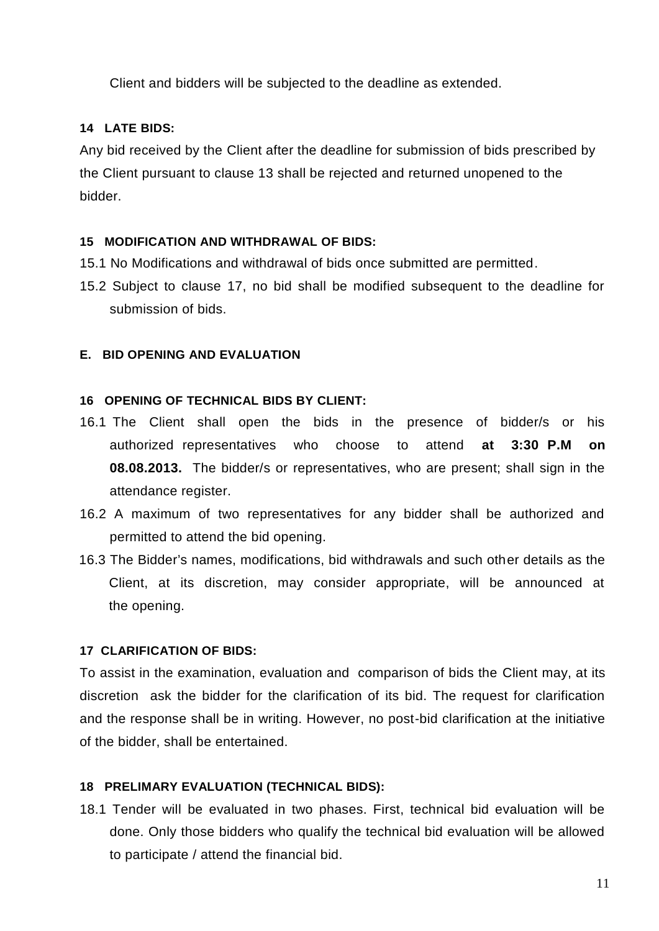Client and bidders will be subjected to the deadline as extended.

# **14 LATE BIDS:**

Any bid received by the Client after the deadline for submission of bids prescribed by the Client pursuant to clause 13 shall be rejected and returned unopened to the bidder.

### **15 MODIFICATION AND WITHDRAWAL OF BIDS:**

- 15.1 No Modifications and withdrawal of bids once submitted are permitted.
- 15.2 Subject to clause 17, no bid shall be modified subsequent to the deadline for submission of bids.

### **E. BID OPENING AND EVALUATION**

### **16 OPENING OF TECHNICAL BIDS BY CLIENT:**

- 16.1 The Client shall open the bids in the presence of bidder/s or his authorized representatives who choose to attend **at 3:30 P.M on 08.08.2013.** The bidder/s or representatives, who are present; shall sign in the attendance register.
- 16.2 A maximum of two representatives for any bidder shall be authorized and permitted to attend the bid opening.
- 16.3 The Bidder's names, modifications, bid withdrawals and such other details as the Client, at its discretion, may consider appropriate, will be announced at the opening.

### **17 CLARIFICATION OF BIDS:**

To assist in the examination, evaluation and comparison of bids the Client may, at its discretion ask the bidder for the clarification of its bid. The request for clarification and the response shall be in writing. However, no post-bid clarification at the initiative of the bidder, shall be entertained.

### **18 PRELIMARY EVALUATION (TECHNICAL BIDS):**

18.1 Tender will be evaluated in two phases. First, technical bid evaluation will be done. Only those bidders who qualify the technical bid evaluation will be allowed to participate / attend the financial bid.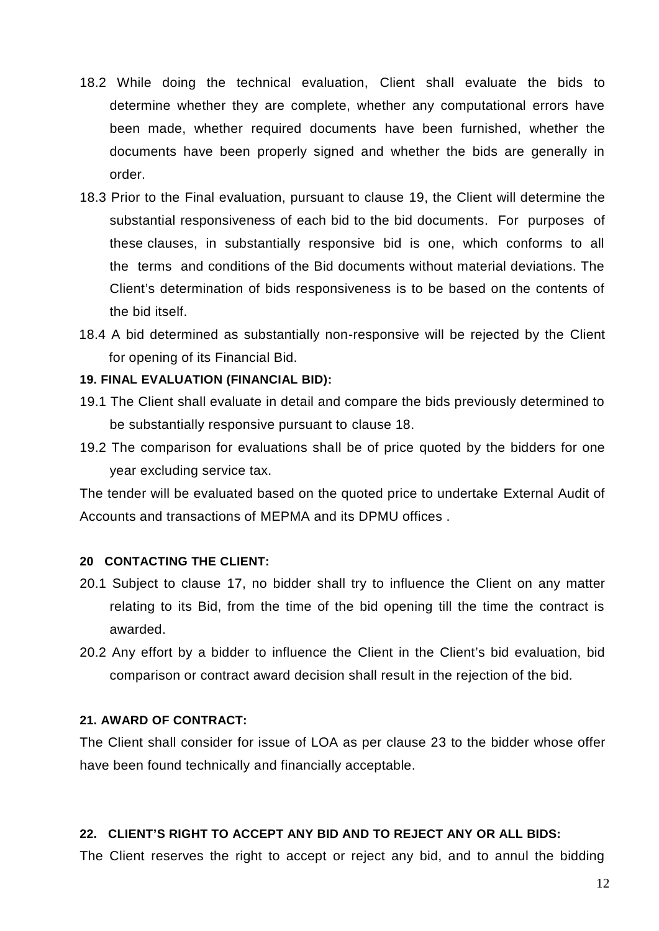- 18.2 While doing the technical evaluation, Client shall evaluate the bids to determine whether they are complete, whether any computational errors have been made, whether required documents have been furnished, whether the documents have been properly signed and whether the bids are generally in order.
- 18.3 Prior to the Final evaluation, pursuant to clause 19, the Client will determine the substantial responsiveness of each bid to the bid documents. For purposes of these clauses, in substantially responsive bid is one, which conforms to all the terms and conditions of the Bid documents without material deviations. The Client's determination of bids responsiveness is to be based on the contents of the bid itself.
- 18.4 A bid determined as substantially non-responsive will be rejected by the Client for opening of its Financial Bid.

### **19. FINAL EVALUATION (FINANCIAL BID):**

- 19.1 The Client shall evaluate in detail and compare the bids previously determined to be substantially responsive pursuant to clause 18.
- 19.2 The comparison for evaluations shall be of price quoted by the bidders for one year excluding service tax.

The tender will be evaluated based on the quoted price to undertake External Audit of Accounts and transactions of MEPMA and its DPMU offices .

#### **20 CONTACTING THE CLIENT:**

- 20.1 Subject to clause 17, no bidder shall try to influence the Client on any matter relating to its Bid, from the time of the bid opening till the time the contract is awarded.
- 20.2 Any effort by a bidder to influence the Client in the Client's bid evaluation, bid comparison or contract award decision shall result in the rejection of the bid.

### **21. AWARD OF CONTRACT:**

The Client shall consider for issue of LOA as per clause 23 to the bidder whose offer have been found technically and financially acceptable.

#### **22. CLIENT'S RIGHT TO ACCEPT ANY BID AND TO REJECT ANY OR ALL BIDS:**

The Client reserves the right to accept or reject any bid, and to annul the bidding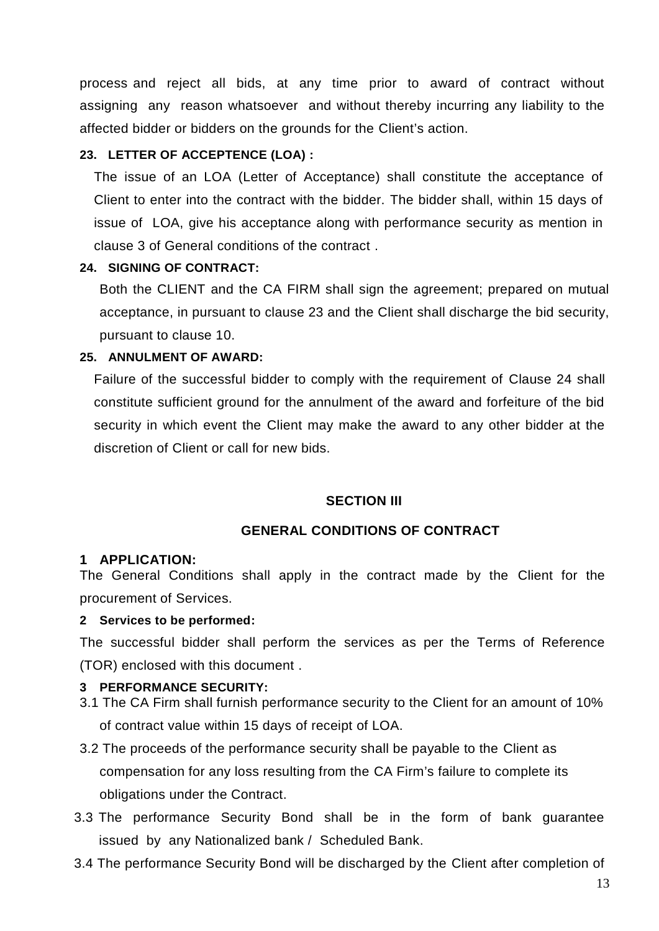process and reject all bids, at any time prior to award of contract without assigning any reason whatsoever and without thereby incurring any liability to the affected bidder or bidders on the grounds for the Client's action.

# **23. LETTER OF ACCEPTENCE (LOA) :**

The issue of an LOA (Letter of Acceptance) shall constitute the acceptance of Client to enter into the contract with the bidder. The bidder shall, within 15 days of issue of LOA, give his acceptance along with performance security as mention in clause 3 of General conditions of the contract .

### **24. SIGNING OF CONTRACT:**

Both the CLIENT and the CA FIRM shall sign the agreement; prepared on mutual acceptance, in pursuant to clause 23 and the Client shall discharge the bid security, pursuant to clause 10.

### **25. ANNULMENT OF AWARD:**

Failure of the successful bidder to comply with the requirement of Clause 24 shall constitute sufficient ground for the annulment of the award and forfeiture of the bid security in which event the Client may make the award to any other bidder at the discretion of Client or call for new bids.

#### **SECTION III**

### **GENERAL CONDITIONS OF CONTRACT**

#### **1 APPLICATION:**

The General Conditions shall apply in the contract made by the Client for the procurement of Services.

#### **2 Services to be performed:**

The successful bidder shall perform the services as per the Terms of Reference (TOR) enclosed with this document .

#### **3 PERFORMANCE SECURITY:**

- 3.1 The CA Firm shall furnish performance security to the Client for an amount of 10% of contract value within 15 days of receipt of LOA.
- 3.2 The proceeds of the performance security shall be payable to the Client as compensation for any loss resulting from the CA Firm's failure to complete its obligations under the Contract.
- 3.3 The performance Security Bond shall be in the form of bank guarantee issued by any Nationalized bank / Scheduled Bank.
- 3.4 The performance Security Bond will be discharged by the Client after completion of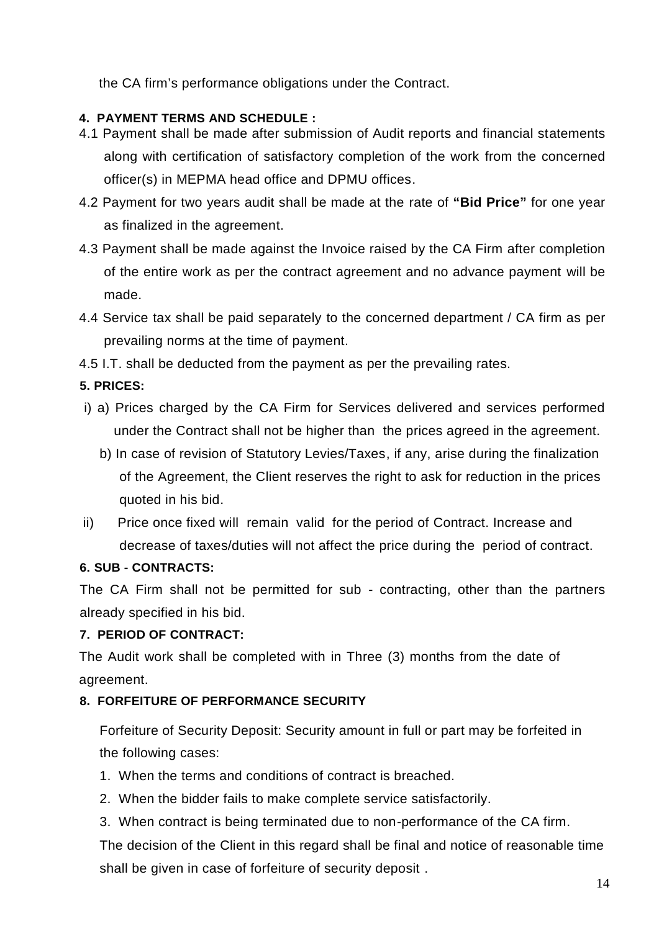the CA firm's performance obligations under the Contract.

# **4. PAYMENT TERMS AND SCHEDULE :**

- 4.1 Payment shall be made after submission of Audit reports and financial statements along with certification of satisfactory completion of the work from the concerned officer(s) in MEPMA head office and DPMU offices.
- 4.2 Payment for two years audit shall be made at the rate of **"Bid Price"** for one year as finalized in the agreement.
- 4.3 Payment shall be made against the Invoice raised by the CA Firm after completion of the entire work as per the contract agreement and no advance payment will be made.
- 4.4 Service tax shall be paid separately to the concerned department / CA firm as per prevailing norms at the time of payment.
- 4.5 I.T. shall be deducted from the payment as per the prevailing rates.

# **5. PRICES:**

- i) a) Prices charged by the CA Firm for Services delivered and services performed under the Contract shall not be higher than the prices agreed in the agreement.
	- b) In case of revision of Statutory Levies/Taxes, if any, arise during the finalization of the Agreement, the Client reserves the right to ask for reduction in the prices quoted in his bid.
- ii) Price once fixed will remain valid for the period of Contract. Increase and decrease of taxes/duties will not affect the price during the period of contract.

# **6. SUB - CONTRACTS:**

The CA Firm shall not be permitted for sub - contracting, other than the partners already specified in his bid.

# **7. PERIOD OF CONTRACT:**

The Audit work shall be completed with in Three (3) months from the date of agreement.

# **8. FORFEITURE OF PERFORMANCE SECURITY**

Forfeiture of Security Deposit: Security amount in full or part may be forfeited in the following cases:

- 1. When the terms and conditions of contract is breached.
- 2. When the bidder fails to make complete service satisfactorily.
- 3. When contract is being terminated due to non-performance of the CA firm.

The decision of the Client in this regard shall be final and notice of reasonable time shall be given in case of forfeiture of security deposit .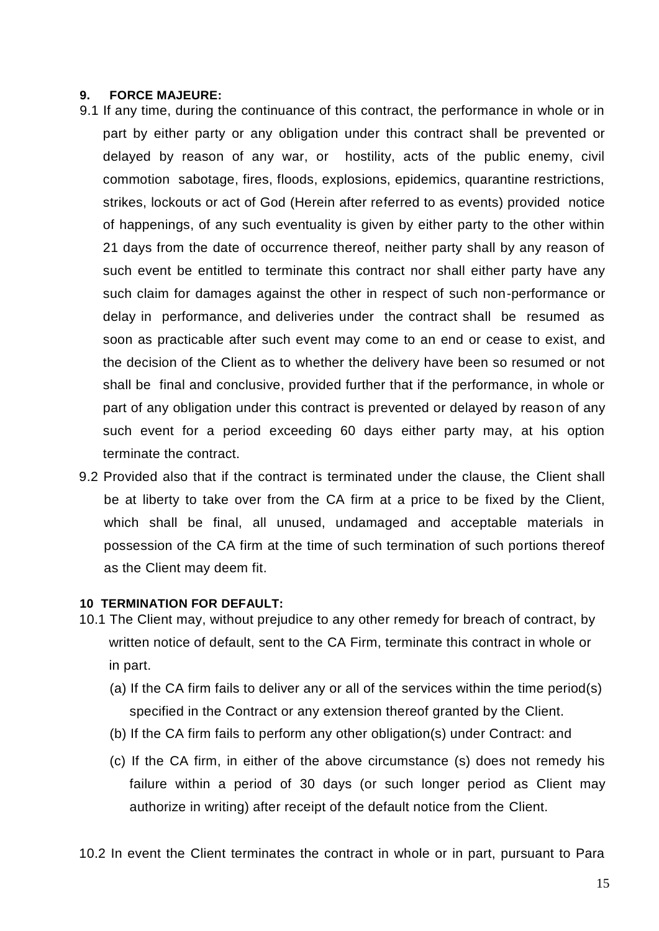#### **9. FORCE MAJEURE:**

- 9.1 If any time, during the continuance of this contract, the performance in whole or in part by either party or any obligation under this contract shall be prevented or delayed by reason of any war, or hostility, acts of the public enemy, civil commotion sabotage, fires, floods, explosions, epidemics, quarantine restrictions, strikes, lockouts or act of God (Herein after referred to as events) provided notice of happenings, of any such eventuality is given by either party to the other within 21 days from the date of occurrence thereof, neither party shall by any reason of such event be entitled to terminate this contract nor shall either party have any such claim for damages against the other in respect of such non-performance or delay in performance, and deliveries under the contract shall be resumed as soon as practicable after such event may come to an end or cease to exist, and the decision of the Client as to whether the delivery have been so resumed or not shall be final and conclusive, provided further that if the performance, in whole or part of any obligation under this contract is prevented or delayed by reason of any such event for a period exceeding 60 days either party may, at his option terminate the contract.
- 9.2 Provided also that if the contract is terminated under the clause, the Client shall be at liberty to take over from the CA firm at a price to be fixed by the Client, which shall be final, all unused, undamaged and acceptable materials in possession of the CA firm at the time of such termination of such portions thereof as the Client may deem fit.

#### **10 TERMINATION FOR DEFAULT:**

- 10.1 The Client may, without prejudice to any other remedy for breach of contract, by written notice of default, sent to the CA Firm, terminate this contract in whole or in part.
	- (a) If the CA firm fails to deliver any or all of the services within the time period(s) specified in the Contract or any extension thereof granted by the Client.
	- (b) If the CA firm fails to perform any other obligation(s) under Contract: and
	- (c) If the CA firm, in either of the above circumstance (s) does not remedy his failure within a period of 30 days (or such longer period as Client may authorize in writing) after receipt of the default notice from the Client.

10.2 In event the Client terminates the contract in whole or in part, pursuant to Para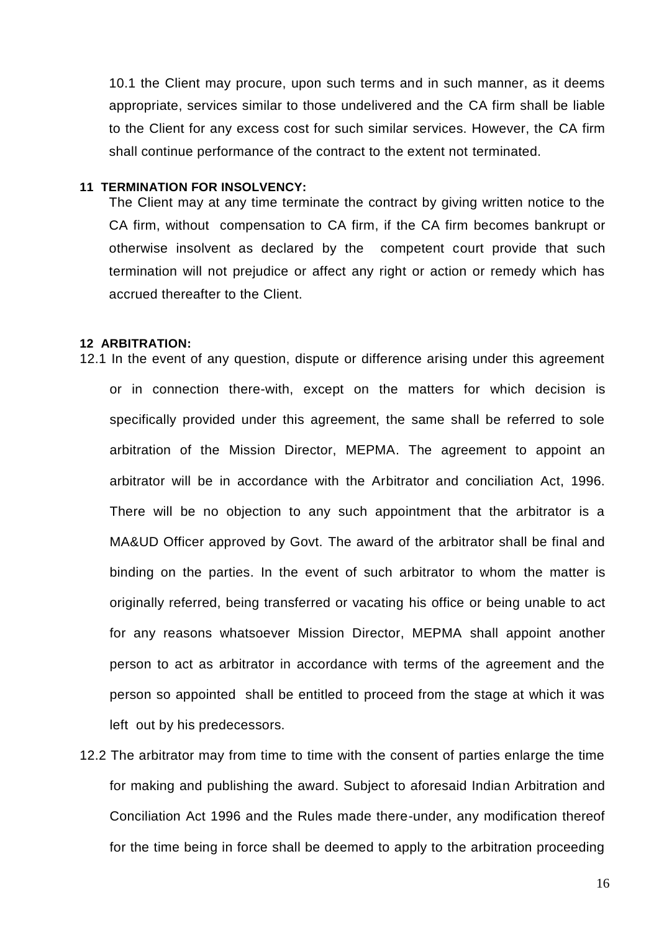10.1 the Client may procure, upon such terms and in such manner, as it deems appropriate, services similar to those undelivered and the CA firm shall be liable to the Client for any excess cost for such similar services. However, the CA firm shall continue performance of the contract to the extent not terminated.

#### **11 TERMINATION FOR INSOLVENCY:**

The Client may at any time terminate the contract by giving written notice to the CA firm, without compensation to CA firm, if the CA firm becomes bankrupt or otherwise insolvent as declared by the competent court provide that such termination will not prejudice or affect any right or action or remedy which has accrued thereafter to the Client.

#### **12 ARBITRATION:**

12.1 In the event of any question, dispute or difference arising under this agreement or in connection there-with, except on the matters for which decision is specifically provided under this agreement, the same shall be referred to sole arbitration of the Mission Director, MEPMA. The agreement to appoint an arbitrator will be in accordance with the Arbitrator and conciliation Act, 1996. There will be no objection to any such appointment that the arbitrator is a MA&UD Officer approved by Govt. The award of the arbitrator shall be final and binding on the parties. In the event of such arbitrator to whom the matter is originally referred, being transferred or vacating his office or being unable to act for any reasons whatsoever Mission Director, MEPMA shall appoint another person to act as arbitrator in accordance with terms of the agreement and the person so appointed shall be entitled to proceed from the stage at which it was left out by his predecessors.

12.2 The arbitrator may from time to time with the consent of parties enlarge the time for making and publishing the award. Subject to aforesaid Indian Arbitration and Conciliation Act 1996 and the Rules made there-under, any modification thereof for the time being in force shall be deemed to apply to the arbitration proceeding

16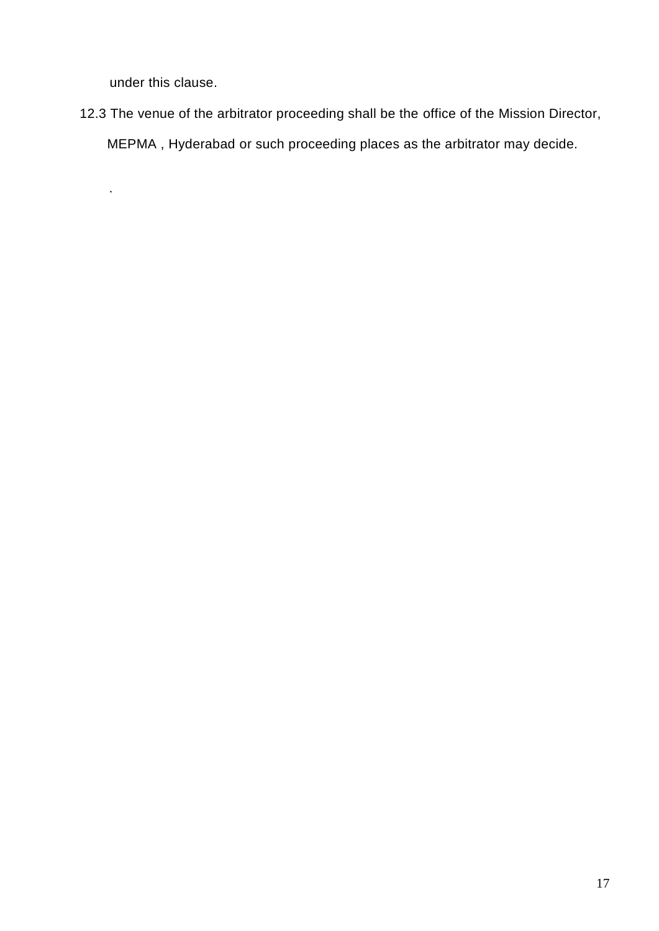under this clause.

.

12.3 The venue of the arbitrator proceeding shall be the office of the Mission Director, MEPMA , Hyderabad or such proceeding places as the arbitrator may decide.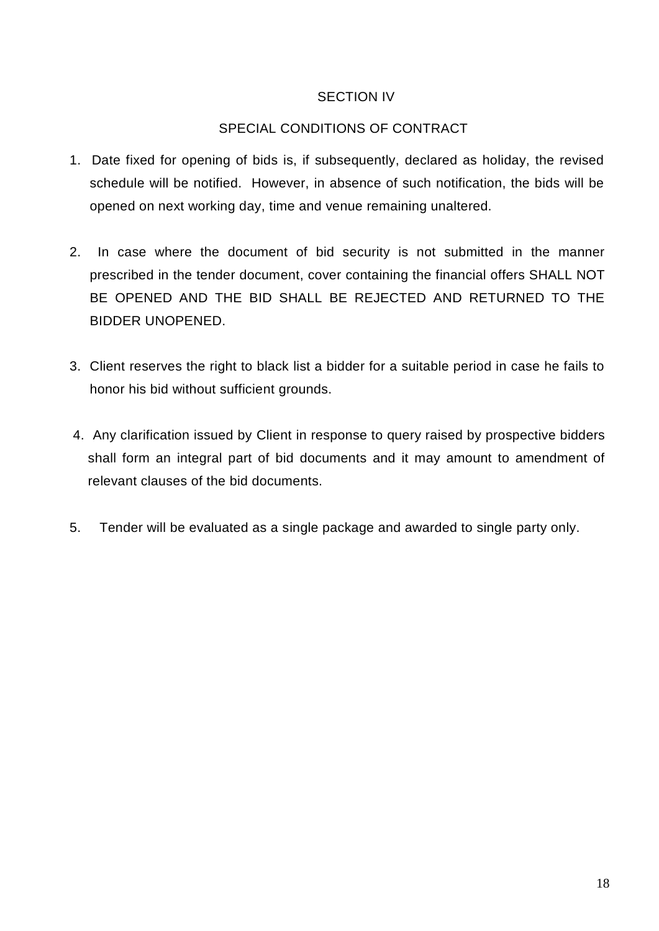# SECTION IV

# SPECIAL CONDITIONS OF CONTRACT

- 1. Date fixed for opening of bids is, if subsequently, declared as holiday, the revised schedule will be notified. However, in absence of such notification, the bids will be opened on next working day, time and venue remaining unaltered.
- 2. In case where the document of bid security is not submitted in the manner prescribed in the tender document, cover containing the financial offers SHALL NOT BE OPENED AND THE BID SHALL BE REJECTED AND RETURNED TO THE BIDDER UNOPENED.
- 3. Client reserves the right to black list a bidder for a suitable period in case he fails to honor his bid without sufficient grounds.
- 4. Any clarification issued by Client in response to query raised by prospective bidders shall form an integral part of bid documents and it may amount to amendment of relevant clauses of the bid documents.
- 5. Tender will be evaluated as a single package and awarded to single party only.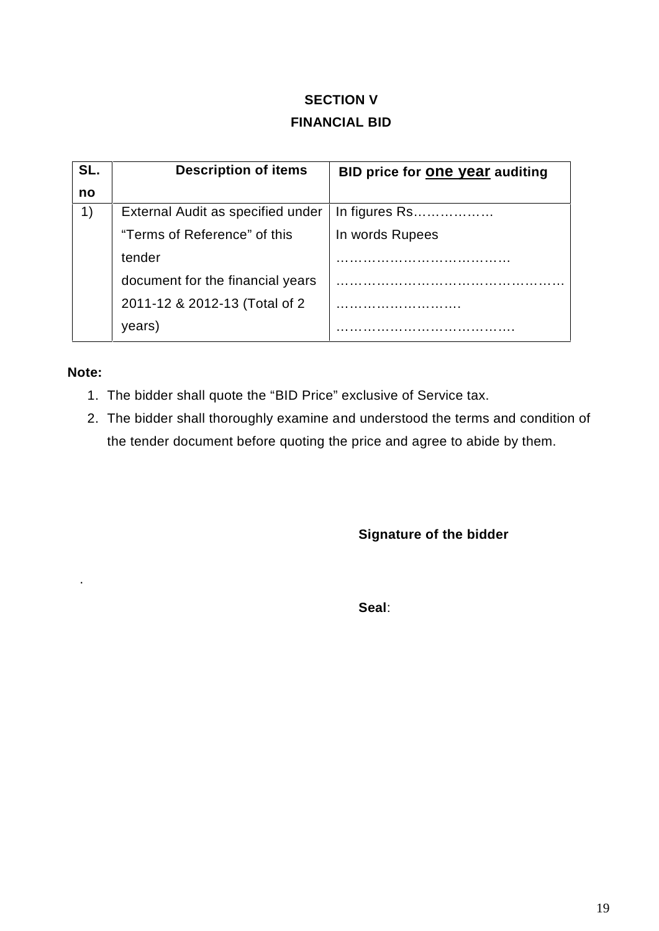# **SECTION V FINANCIAL BID**

| SL. | <b>Description of items</b>       | BID price for <b>One year</b> auditing |
|-----|-----------------------------------|----------------------------------------|
| no  |                                   |                                        |
|     | External Audit as specified under | In figures Rs                          |
|     | "Terms of Reference" of this      | In words Rupees                        |
|     | tender                            |                                        |
|     | document for the financial years  |                                        |
|     | 2011-12 & 2012-13 (Total of 2)    |                                        |
|     | years)                            |                                        |

# **Note:**

.

- 1. The bidder shall quote the "BID Price" exclusive of Service tax.
- 2. The bidder shall thoroughly examine and understood the terms and condition of the tender document before quoting the price and agree to abide by them.

**Signature of the bidder**

**Seal**: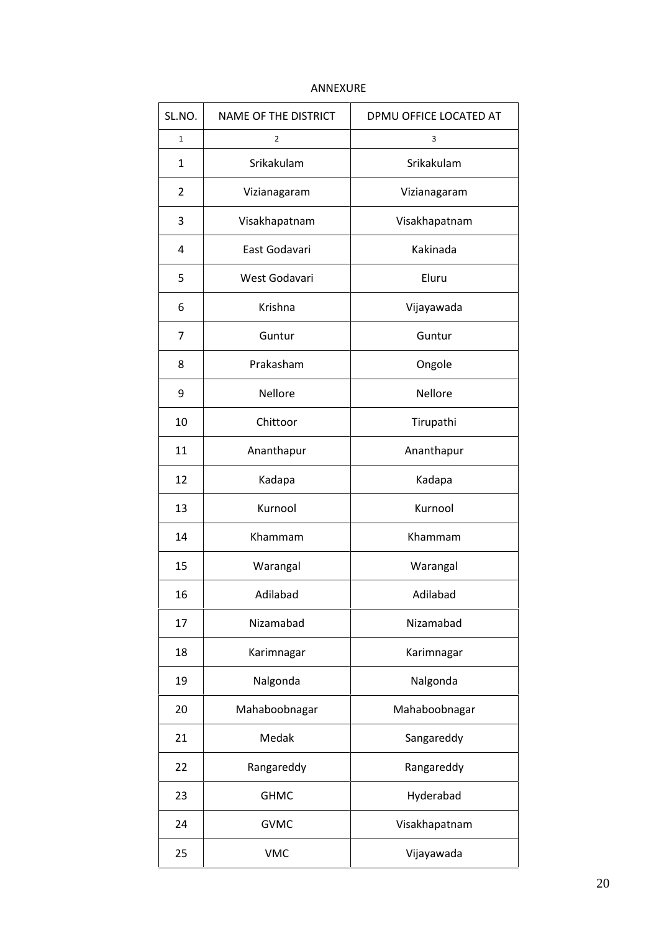| SL.NO.       | NAME OF THE DISTRICT | DPMU OFFICE LOCATED AT |  |  |
|--------------|----------------------|------------------------|--|--|
| $\mathbf{1}$ | $\overline{2}$       | 3                      |  |  |
| 1            | Srikakulam           | Srikakulam             |  |  |
| 2            | Vizianagaram         | Vizianagaram           |  |  |
| 3            | Visakhapatnam        | Visakhapatnam          |  |  |
| 4            | East Godavari        | Kakinada               |  |  |
| 5            | West Godavari        | Eluru                  |  |  |
| 6            | Krishna              | Vijayawada             |  |  |
| 7            | Guntur               | Guntur                 |  |  |
| 8            | Prakasham            | Ongole                 |  |  |
| 9            | <b>Nellore</b>       | <b>Nellore</b>         |  |  |
| 10           | Chittoor             | Tirupathi              |  |  |
| 11           | Ananthapur           | Ananthapur             |  |  |
| 12           | Kadapa               | Kadapa                 |  |  |
| 13           | Kurnool              | Kurnool                |  |  |
| 14           | Khammam              | Khammam                |  |  |
| 15           | Warangal             | Warangal               |  |  |
| 16           | Adilabad             | Adilabad               |  |  |
| 17           | Nizamabad            | Nizamabad              |  |  |
| 18           | Karimnagar           | Karimnagar             |  |  |
| 19           | Nalgonda             | Nalgonda               |  |  |
| 20           | Mahaboobnagar        | Mahaboobnagar          |  |  |
| 21           | Medak                | Sangareddy             |  |  |
| 22           | Rangareddy           | Rangareddy             |  |  |
| 23           | <b>GHMC</b>          | Hyderabad              |  |  |
| 24           | <b>GVMC</b>          | Visakhapatnam          |  |  |
| 25           | <b>VMC</b>           | Vijayawada             |  |  |

#### ANNEXURE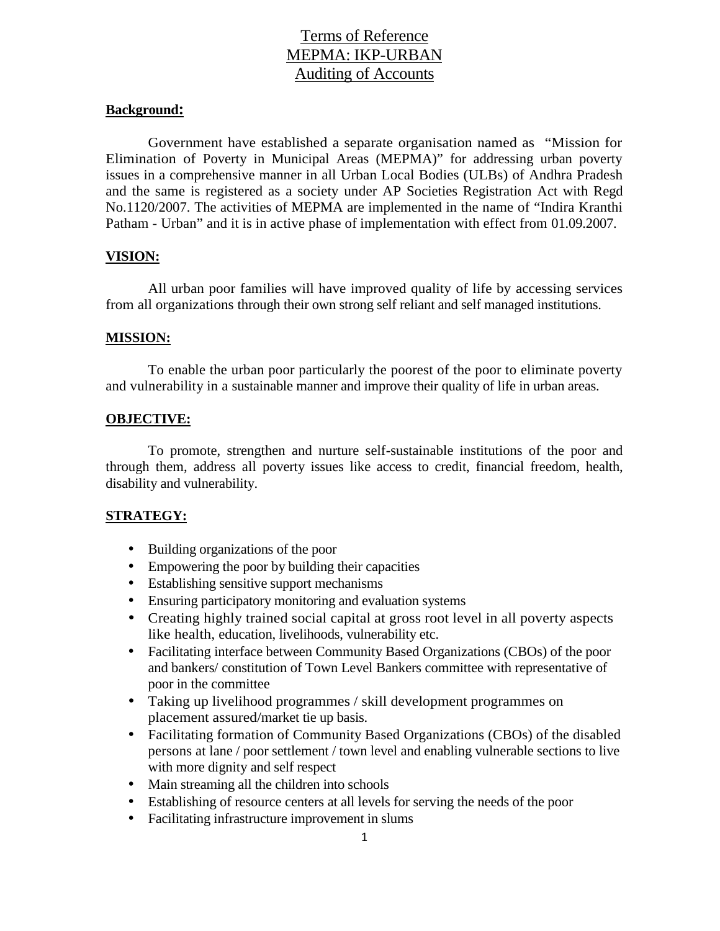# Terms of Reference MEPMA: IKP-URBAN Auditing of Accounts

#### **Background:**

Government have established a separate organisation named as "Mission for Elimination of Poverty in Municipal Areas (MEPMA)" for addressing urban poverty issues in a comprehensive manner in all Urban Local Bodies (ULBs) of Andhra Pradesh and the same is registered as a society under AP Societies Registration Act with Regd No.1120/2007. The activities of MEPMA are implemented in the name of "Indira Kranthi Patham - Urban" and it is in active phase of implementation with effect from 01.09.2007.

#### **VISION:**

All urban poor families will have improved quality of life by accessing services from all organizations through their own strong self reliant and self managed institutions.

#### **MISSION:**

To enable the urban poor particularly the poorest of the poor to eliminate poverty and vulnerability in a sustainable manner and improve their quality of life in urban areas.

#### **OBJECTIVE:**

To promote, strengthen and nurture self-sustainable institutions of the poor and through them, address all poverty issues like access to credit, financial freedom, health, disability and vulnerability.

#### **STRATEGY:**

- Building organizations of the poor
- Empowering the poor by building their capacities
- Establishing sensitive support mechanisms
- Ensuring participatory monitoring and evaluation systems
- Creating highly trained social capital at gross root level in all poverty aspects like health, education, livelihoods, vulnerability etc.
- Facilitating interface between Community Based Organizations (CBOs) of the poor and bankers/ constitution of Town Level Bankers committee with representative of poor in the committee
- Taking up livelihood programmes / skill development programmes on placement assured/market tie up basis.
- Facilitating formation of Community Based Organizations (CBOs) of the disabled persons at lane / poor settlement / town level and enabling vulnerable sections to live with more dignity and self respect
- Main streaming all the children into schools
- Establishing of resource centers at all levels for serving the needs of the poor
- Facilitating infrastructure improvement in slums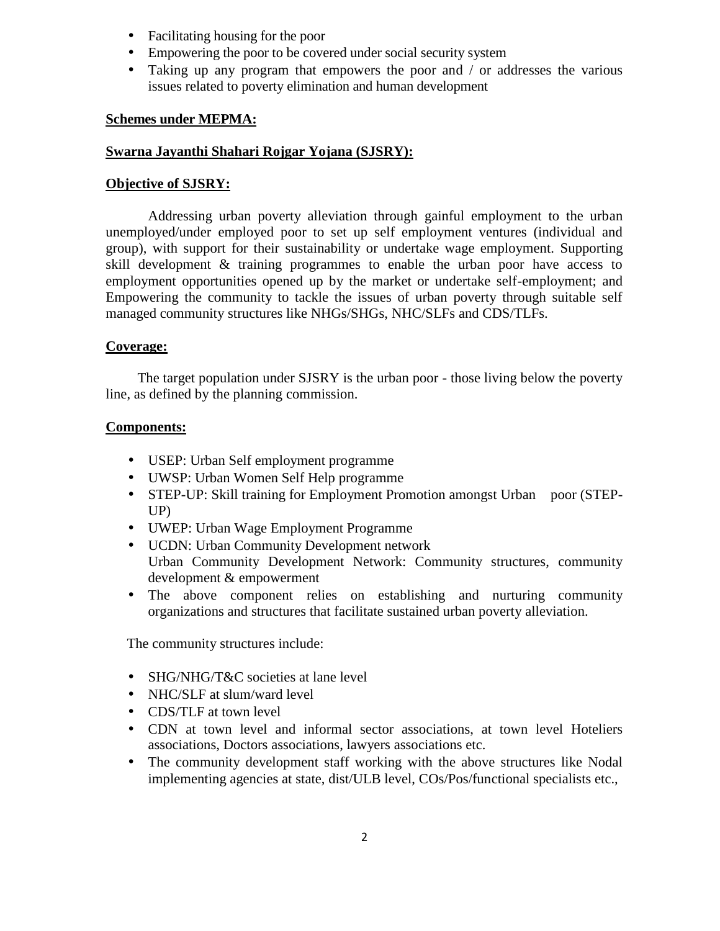- Facilitating housing for the poor
- Empowering the poor to be covered under social security system
- Taking up any program that empowers the poor and / or addresses the various issues related to poverty elimination and human development

#### **Schemes under MEPMA:**

#### **Swarna Jayanthi Shahari Rojgar Yojana (SJSRY):**

#### **Objective of SJSRY:**

Addressing urban poverty alleviation through gainful employment to the urban unemployed/under employed poor to set up self employment ventures (individual and group), with support for their sustainability or undertake wage employment. Supporting skill development & training programmes to enable the urban poor have access to employment opportunities opened up by the market or undertake self-employment; and Empowering the community to tackle the issues of urban poverty through suitable self managed community structures like NHGs/SHGs, NHC/SLFs and CDS/TLFs.

#### **Coverage:**

The target population under SJSRY is the urban poor - those living below the poverty line, as defined by the planning commission.

#### **Components:**

- USEP: Urban Self employment programme
- UWSP: Urban Women Self Help programme
- STEP-UP: Skill training for Employment Promotion amongst Urban poor (STEP-UP)
- UWEP: Urban Wage Employment Programme
- UCDN: Urban Community Development network Urban Community Development Network: Community structures, community development & empowerment
- The above component relies on establishing and nurturing community organizations and structures that facilitate sustained urban poverty alleviation.

The community structures include:

- SHG/NHG/T&C societies at lane level
- NHC/SLF at slum/ward level
- CDS/TLF at town level
- CDN at town level and informal sector associations, at town level Hoteliers associations, Doctors associations, lawyers associations etc.
- The community development staff working with the above structures like Nodal implementing agencies at state, dist/ULB level, COs/Pos/functional specialists etc.,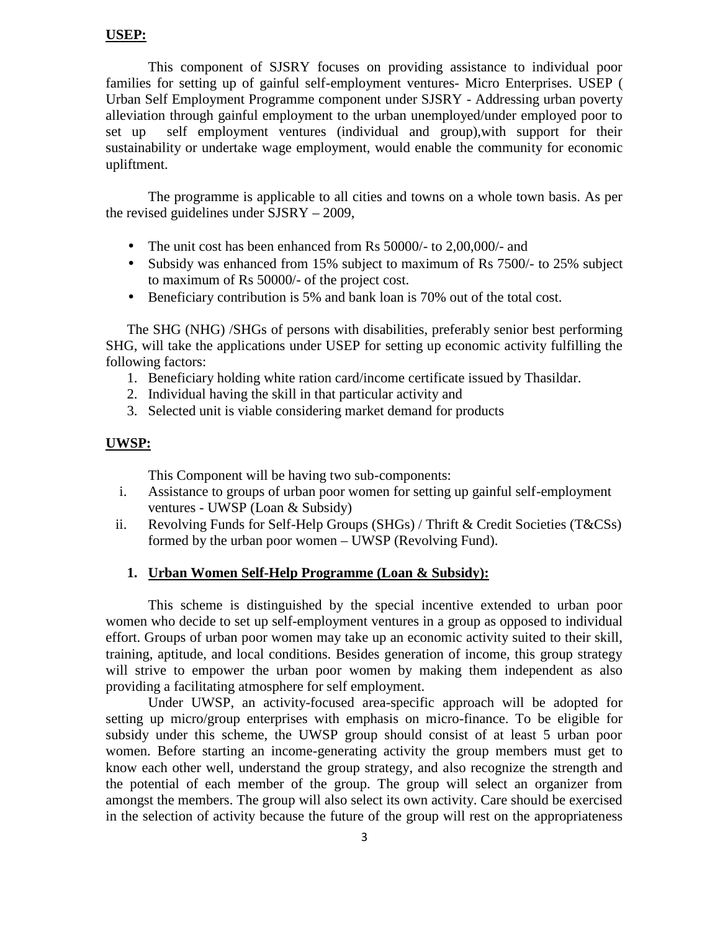#### **USEP:**

This component of SJSRY focuses on providing assistance to individual poor families for setting up of gainful self-employment ventures- Micro Enterprises. USEP ( Urban Self Employment Programme component under SJSRY - Addressing urban poverty alleviation through gainful employment to the urban unemployed/under employed poor to set up self employment ventures (individual and group),with support for their sustainability or undertake wage employment, would enable the community for economic upliftment.

The programme is applicable to all cities and towns on a whole town basis. As per the revised guidelines under SJSRY – 2009,

- The unit cost has been enhanced from Rs 50000/- to 2,00,000/- and
- Subsidy was enhanced from 15% subject to maximum of Rs 7500/- to 25% subject to maximum of Rs 50000/- of the project cost.
- Beneficiary contribution is 5% and bank loan is 70% out of the total cost.

The SHG (NHG) /SHGs of persons with disabilities, preferably senior best performing SHG, will take the applications under USEP for setting up economic activity fulfilling the following factors:

- 1. Beneficiary holding white ration card/income certificate issued by Thasildar.
- 2. Individual having the skill in that particular activity and
- 3. Selected unit is viable considering market demand for products

#### **UWSP:**

This Component will be having two sub-components:

- i. Assistance to groups of urban poor women for setting up gainful self-employment ventures - UWSP (Loan & Subsidy)
- ii. Revolving Funds for Self-Help Groups (SHGs) / Thrift & Credit Societies (T&CSs) formed by the urban poor women – UWSP (Revolving Fund).

#### **1. Urban Women Self-Help Programme (Loan & Subsidy):**

This scheme is distinguished by the special incentive extended to urban poor women who decide to set up self-employment ventures in a group as opposed to individual effort. Groups of urban poor women may take up an economic activity suited to their skill, training, aptitude, and local conditions. Besides generation of income, this group strategy will strive to empower the urban poor women by making them independent as also providing a facilitating atmosphere for self employment.

Under UWSP, an activity-focused area-specific approach will be adopted for setting up micro/group enterprises with emphasis on micro-finance. To be eligible for subsidy under this scheme, the UWSP group should consist of at least 5 urban poor women. Before starting an income-generating activity the group members must get to know each other well, understand the group strategy, and also recognize the strength and the potential of each member of the group. The group will select an organizer from amongst the members. The group will also select its own activity. Care should be exercised in the selection of activity because the future of the group will rest on the appropriateness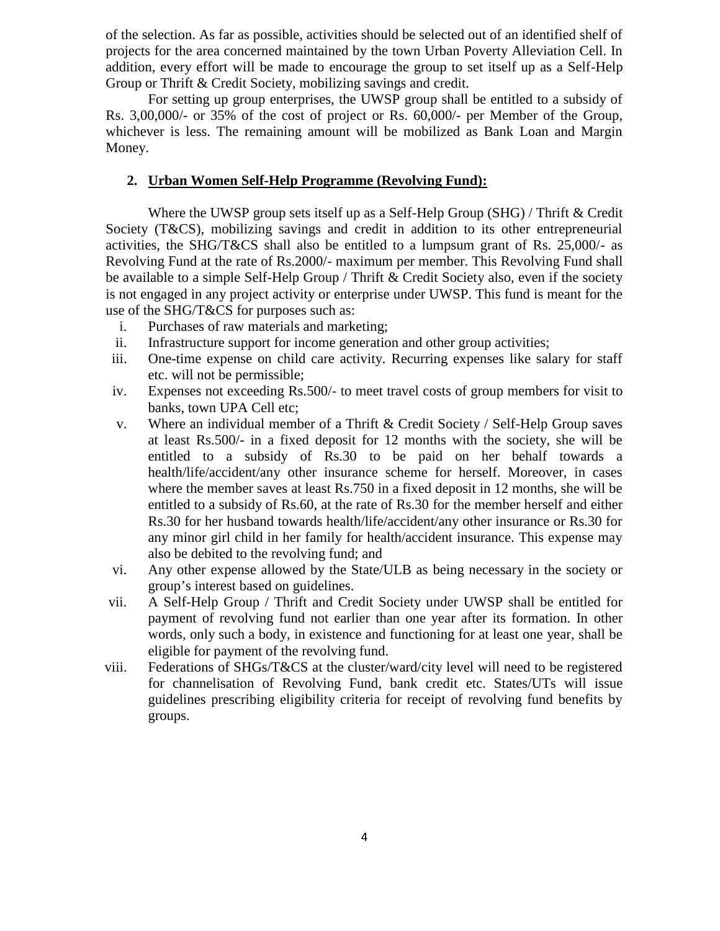of the selection. As far as possible, activities should be selected out of an identified shelf of projects for the area concerned maintained by the town Urban Poverty Alleviation Cell. In addition, every effort will be made to encourage the group to set itself up as a Self-Help Group or Thrift & Credit Society, mobilizing savings and credit.

For setting up group enterprises, the UWSP group shall be entitled to a subsidy of Rs. 3,00,000/- or 35% of the cost of project or Rs. 60,000/- per Member of the Group, whichever is less. The remaining amount will be mobilized as Bank Loan and Margin Money.

### **2. Urban Women Self-Help Programme (Revolving Fund):**

Where the UWSP group sets itself up as a Self-Help Group (SHG) / Thrift & Credit Society (T&CS), mobilizing savings and credit in addition to its other entrepreneurial activities, the SHG/T&CS shall also be entitled to a lumpsum grant of Rs. 25,000/- as Revolving Fund at the rate of Rs.2000/- maximum per member. This Revolving Fund shall be available to a simple Self-Help Group / Thrift & Credit Society also, even if the society is not engaged in any project activity or enterprise under UWSP. This fund is meant for the use of the SHG/T&CS for purposes such as:

- i. Purchases of raw materials and marketing;
- ii. Infrastructure support for income generation and other group activities;
- iii. One-time expense on child care activity. Recurring expenses like salary for staff etc. will not be permissible;
- iv. Expenses not exceeding Rs.500/- to meet travel costs of group members for visit to banks, town UPA Cell etc;
- v. Where an individual member of a Thrift & Credit Society / Self-Help Group saves at least Rs.500/- in a fixed deposit for 12 months with the society, she will be entitled to a subsidy of Rs.30 to be paid on her behalf towards a health/life/accident/any other insurance scheme for herself. Moreover, in cases where the member saves at least Rs.750 in a fixed deposit in 12 months, she will be entitled to a subsidy of Rs.60, at the rate of Rs.30 for the member herself and either Rs.30 for her husband towards health/life/accident/any other insurance or Rs.30 for any minor girl child in her family for health/accident insurance. This expense may also be debited to the revolving fund; and
- vi. Any other expense allowed by the State/ULB as being necessary in the society or group's interest based on guidelines.
- vii. A Self-Help Group / Thrift and Credit Society under UWSP shall be entitled for payment of revolving fund not earlier than one year after its formation. In other words, only such a body, in existence and functioning for at least one year, shall be eligible for payment of the revolving fund.
- viii. Federations of SHGs/T&CS at the cluster/ward/city level will need to be registered for channelisation of Revolving Fund, bank credit etc. States/UTs will issue guidelines prescribing eligibility criteria for receipt of revolving fund benefits by groups.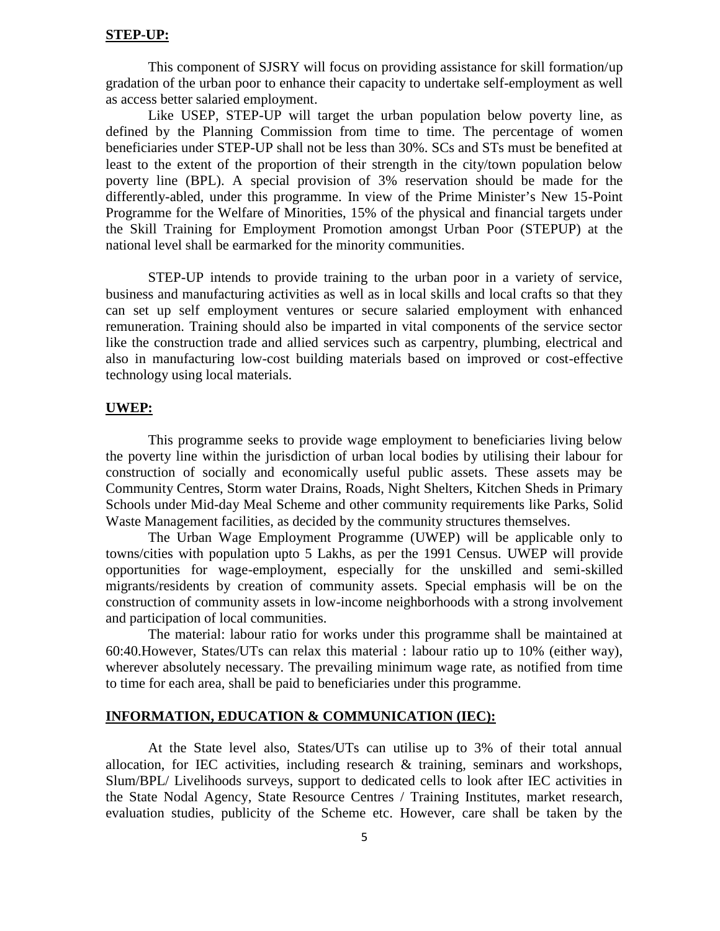#### **STEP-UP:**

This component of SJSRY will focus on providing assistance for skill formation/up gradation of the urban poor to enhance their capacity to undertake self-employment as well as access better salaried employment.

Like USEP, STEP-UP will target the urban population below poverty line, as defined by the Planning Commission from time to time. The percentage of women beneficiaries under STEP-UP shall not be less than 30%. SCs and STs must be benefited at least to the extent of the proportion of their strength in the city/town population below poverty line (BPL). A special provision of 3% reservation should be made for the differently-abled, under this programme. In view of the Prime Minister's New 15-Point Programme for the Welfare of Minorities, 15% of the physical and financial targets under the Skill Training for Employment Promotion amongst Urban Poor (STEPUP) at the national level shall be earmarked for the minority communities.

STEP-UP intends to provide training to the urban poor in a variety of service, business and manufacturing activities as well as in local skills and local crafts so that they can set up self employment ventures or secure salaried employment with enhanced remuneration. Training should also be imparted in vital components of the service sector like the construction trade and allied services such as carpentry, plumbing, electrical and also in manufacturing low-cost building materials based on improved or cost-effective technology using local materials.

#### **UWEP:**

This programme seeks to provide wage employment to beneficiaries living below the poverty line within the jurisdiction of urban local bodies by utilising their labour for construction of socially and economically useful public assets. These assets may be Community Centres, Storm water Drains, Roads, Night Shelters, Kitchen Sheds in Primary Schools under Mid-day Meal Scheme and other community requirements like Parks, Solid Waste Management facilities, as decided by the community structures themselves.

The Urban Wage Employment Programme (UWEP) will be applicable only to towns/cities with population upto 5 Lakhs, as per the 1991 Census. UWEP will provide opportunities for wage-employment, especially for the unskilled and semi-skilled migrants/residents by creation of community assets. Special emphasis will be on the construction of community assets in low-income neighborhoods with a strong involvement and participation of local communities.

The material: labour ratio for works under this programme shall be maintained at 60:40.However, States/UTs can relax this material : labour ratio up to 10% (either way), wherever absolutely necessary. The prevailing minimum wage rate, as notified from time to time for each area, shall be paid to beneficiaries under this programme.

#### **INFORMATION, EDUCATION & COMMUNICATION (IEC):**

At the State level also, States/UTs can utilise up to 3% of their total annual allocation, for IEC activities, including research  $\&$  training, seminars and workshops, Slum/BPL/ Livelihoods surveys, support to dedicated cells to look after IEC activities in the State Nodal Agency, State Resource Centres / Training Institutes, market research, evaluation studies, publicity of the Scheme etc. However, care shall be taken by the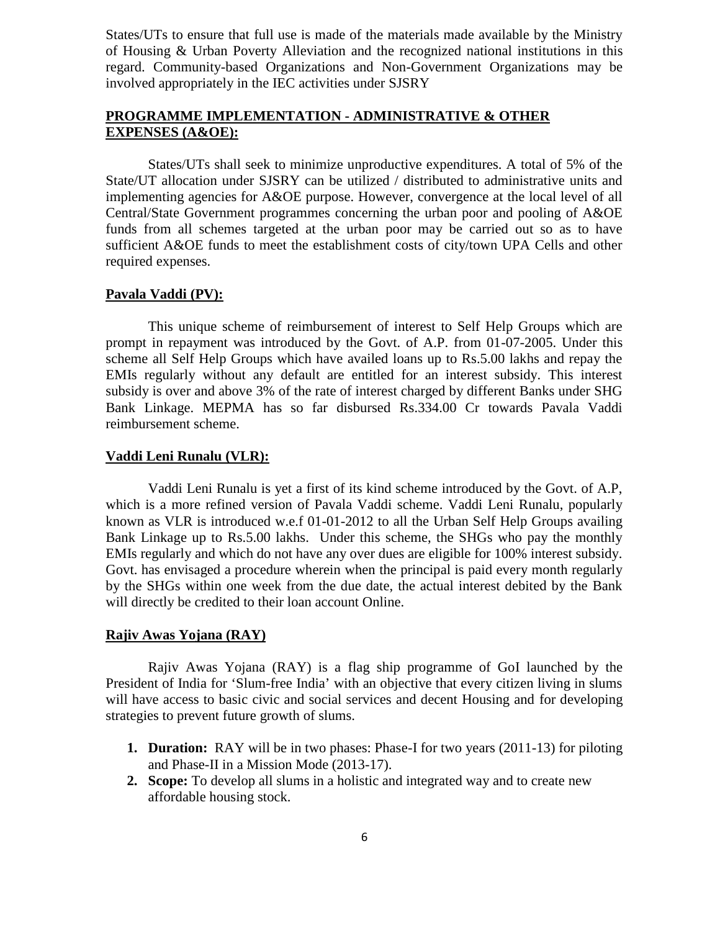States/UTs to ensure that full use is made of the materials made available by the Ministry of Housing & Urban Poverty Alleviation and the recognized national institutions in this regard. Community-based Organizations and Non-Government Organizations may be involved appropriately in the IEC activities under SJSRY

### **PROGRAMME IMPLEMENTATION - ADMINISTRATIVE & OTHER EXPENSES (A&OE):**

States/UTs shall seek to minimize unproductive expenditures. A total of 5% of the State/UT allocation under SJSRY can be utilized / distributed to administrative units and implementing agencies for A&OE purpose. However, convergence at the local level of all Central/State Government programmes concerning the urban poor and pooling of A&OE funds from all schemes targeted at the urban poor may be carried out so as to have sufficient A&OE funds to meet the establishment costs of city/town UPA Cells and other required expenses.

#### **Pavala Vaddi (PV):**

This unique scheme of reimbursement of interest to Self Help Groups which are prompt in repayment was introduced by the Govt. of A.P. from 01-07-2005. Under this scheme all Self Help Groups which have availed loans up to Rs.5.00 lakhs and repay the EMIs regularly without any default are entitled for an interest subsidy. This interest subsidy is over and above 3% of the rate of interest charged by different Banks under SHG Bank Linkage. MEPMA has so far disbursed Rs.334.00 Cr towards Pavala Vaddi reimbursement scheme.

#### **Vaddi Leni Runalu (VLR):**

Vaddi Leni Runalu is yet a first of its kind scheme introduced by the Govt. of A.P, which is a more refined version of Pavala Vaddi scheme. Vaddi Leni Runalu, popularly known as VLR is introduced w.e.f 01-01-2012 to all the Urban Self Help Groups availing Bank Linkage up to Rs.5.00 lakhs. Under this scheme, the SHGs who pay the monthly EMIs regularly and which do not have any over dues are eligible for 100% interest subsidy. Govt. has envisaged a procedure wherein when the principal is paid every month regularly by the SHGs within one week from the due date, the actual interest debited by the Bank will directly be credited to their loan account Online.

#### **Rajiv Awas Yojana (RAY)**

Rajiv Awas Yojana (RAY) is a flag ship programme of GoI launched by the President of India for 'Slum-free India' with an objective that every citizen living in slums will have access to basic civic and social services and decent Housing and for developing strategies to prevent future growth of slums.

- **1. Duration:** RAY will be in two phases: Phase-I for two years (2011-13) for piloting and Phase-II in a Mission Mode (2013-17).
- **2. Scope:** To develop all slums in a holistic and integrated way and to create new affordable housing stock.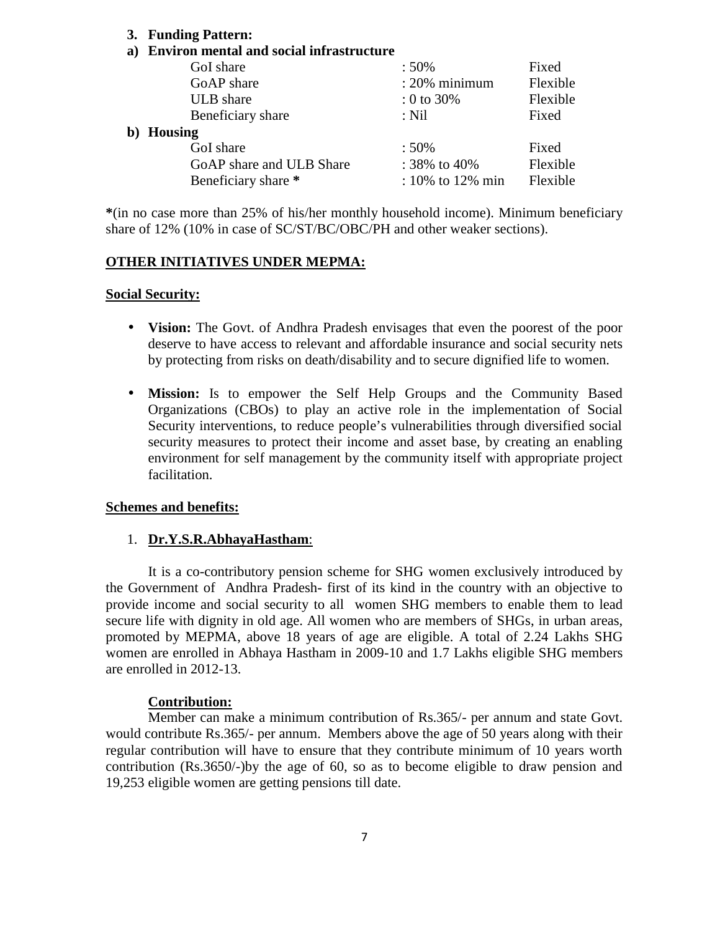#### **3. Funding Pattern:**

#### **a) Environ mental and social infrastructure**

| GoI share                | :50%                   | Fixed    |  |
|--------------------------|------------------------|----------|--|
| GoAP share               | $: 20\%$ minimum       | Flexible |  |
| ULB share                | $: 0 \text{ to } 30\%$ | Flexible |  |
| Beneficiary share        | $:$ Nil                | Fixed    |  |
| b) Housing               |                        |          |  |
| GoI share                | $:50\%$                | Fixed    |  |
| GoAP share and ULB Share | : $38\%$ to $40\%$     | Flexible |  |
| Beneficiary share *      | $: 10\%$ to 12% min    | Flexible |  |

**\***(in no case more than 25% of his/her monthly household income). Minimum beneficiary share of 12% (10% in case of SC/ST/BC/OBC/PH and other weaker sections).

#### **OTHER INITIATIVES UNDER MEPMA:**

#### **Social Security:**

- **Vision:** The Govt. of Andhra Pradesh envisages that even the poorest of the poor deserve to have access to relevant and affordable insurance and social security nets by protecting from risks on death/disability and to secure dignified life to women.
- **Mission:** Is to empower the Self Help Groups and the Community Based Organizations (CBOs) to play an active role in the implementation of Social Security interventions, to reduce people's vulnerabilities through diversified social security measures to protect their income and asset base, by creating an enabling environment for self management by the community itself with appropriate project facilitation.

#### **Schemes and benefits:**

#### 1. **Dr.Y.S.R.AbhayaHastham**:

It is a co-contributory pension scheme for SHG women exclusively introduced by the Government of Andhra Pradesh- first of its kind in the country with an objective to provide income and social security to all women SHG members to enable them to lead secure life with dignity in old age. All women who are members of SHGs, in urban areas, promoted by MEPMA, above 18 years of age are eligible. A total of 2.24 Lakhs SHG women are enrolled in Abhaya Hastham in 2009-10 and 1.7 Lakhs eligible SHG members are enrolled in 2012-13.

#### **Contribution:**

Member can make a minimum contribution of Rs.365/- per annum and state Govt. would contribute Rs.365/- per annum. Members above the age of 50 years along with their regular contribution will have to ensure that they contribute minimum of 10 years worth contribution (Rs.3650/-)by the age of 60, so as to become eligible to draw pension and 19,253 eligible women are getting pensions till date.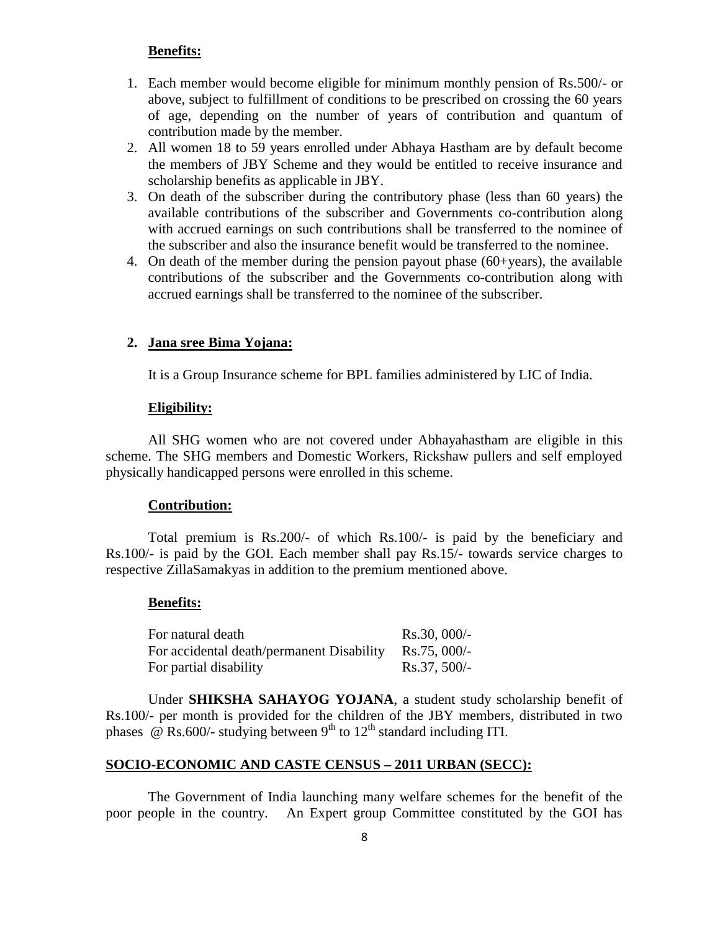#### **Benefits:**

- 1. Each member would become eligible for minimum monthly pension of Rs.500/- or above, subject to fulfillment of conditions to be prescribed on crossing the 60 years of age, depending on the number of years of contribution and quantum of contribution made by the member.
- 2. All women 18 to 59 years enrolled under Abhaya Hastham are by default become the members of JBY Scheme and they would be entitled to receive insurance and scholarship benefits as applicable in JBY.
- 3. On death of the subscriber during the contributory phase (less than 60 years) the available contributions of the subscriber and Governments co-contribution along with accrued earnings on such contributions shall be transferred to the nominee of the subscriber and also the insurance benefit would be transferred to the nominee.
- 4. On death of the member during the pension payout phase (60+years), the available contributions of the subscriber and the Governments co-contribution along with accrued earnings shall be transferred to the nominee of the subscriber.

#### **2. Jana sree Bima Yojana:**

It is a Group Insurance scheme for BPL families administered by LIC of India.

#### **Eligibility:**

All SHG women who are not covered under Abhayahastham are eligible in this scheme. The SHG members and Domestic Workers, Rickshaw pullers and self employed physically handicapped persons were enrolled in this scheme.

#### **Contribution:**

Total premium is Rs.200/- of which Rs.100/- is paid by the beneficiary and Rs.100/- is paid by the GOI. Each member shall pay Rs.15/- towards service charges to respective ZillaSamakyas in addition to the premium mentioned above.

#### **Benefits:**

| For natural death                         | $Rs.30,000/-$          |
|-------------------------------------------|------------------------|
| For accidental death/permanent Disability | $\text{Rs.75},\,000/-$ |
| For partial disability                    | $Rs.37,500/-$          |

Under **SHIKSHA SAHAYOG YOJANA**, a student study scholarship benefit of Rs.100/- per month is provided for the children of the JBY members, distributed in two phases  $\ddot{\text{o}}$  Rs.600/- studying between 9<sup>th</sup> to 12<sup>th</sup> standard including ITI.

#### **SOCIO-ECONOMIC AND CASTE CENSUS – 2011 URBAN (SECC):**

The Government of India launching many welfare schemes for the benefit of the poor people in the country. An Expert group Committee constituted by the GOI has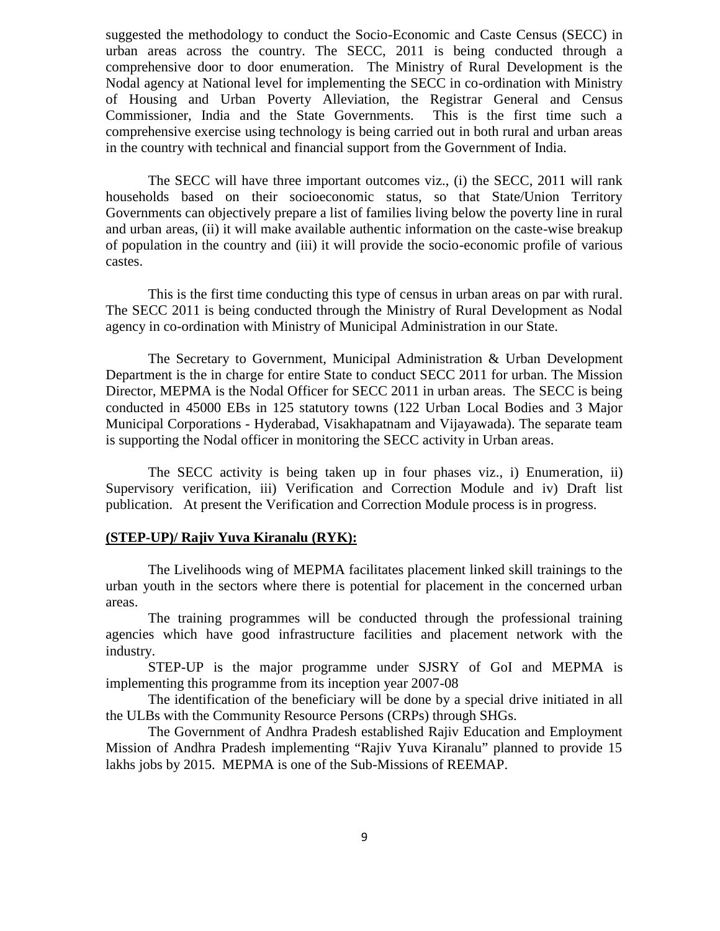suggested the methodology to conduct the Socio-Economic and Caste Census (SECC) in urban areas across the country. The SECC, 2011 is being conducted through a comprehensive door to door enumeration. The Ministry of Rural Development is the Nodal agency at National level for implementing the SECC in co-ordination with Ministry of Housing and Urban Poverty Alleviation, the Registrar General and Census Commissioner, India and the State Governments. This is the first time such a comprehensive exercise using technology is being carried out in both rural and urban areas in the country with technical and financial support from the Government of India.

The SECC will have three important outcomes viz., (i) the SECC, 2011 will rank households based on their socioeconomic status, so that State/Union Territory Governments can objectively prepare a list of families living below the poverty line in rural and urban areas, (ii) it will make available authentic information on the caste-wise breakup of population in the country and (iii) it will provide the socio-economic profile of various castes.

This is the first time conducting this type of census in urban areas on par with rural. The SECC 2011 is being conducted through the Ministry of Rural Development as Nodal agency in co-ordination with Ministry of Municipal Administration in our State.

The Secretary to Government, Municipal Administration & Urban Development Department is the in charge for entire State to conduct SECC 2011 for urban. The Mission Director, MEPMA is the Nodal Officer for SECC 2011 in urban areas. The SECC is being conducted in 45000 EBs in 125 statutory towns (122 Urban Local Bodies and 3 Major Municipal Corporations - Hyderabad, Visakhapatnam and Vijayawada). The separate team is supporting the Nodal officer in monitoring the SECC activity in Urban areas.

The SECC activity is being taken up in four phases viz., i) Enumeration, ii) Supervisory verification, iii) Verification and Correction Module and iv) Draft list publication. At present the Verification and Correction Module process is in progress.

#### **(STEP-UP)/ Rajiv Yuva Kiranalu (RYK):**

The Livelihoods wing of MEPMA facilitates placement linked skill trainings to the urban youth in the sectors where there is potential for placement in the concerned urban areas.

The training programmes will be conducted through the professional training agencies which have good infrastructure facilities and placement network with the industry.

STEP-UP is the major programme under SJSRY of GoI and MEPMA is implementing this programme from its inception year 2007-08

The identification of the beneficiary will be done by a special drive initiated in all the ULBs with the Community Resource Persons (CRPs) through SHGs.

The Government of Andhra Pradesh established Rajiv Education and Employment Mission of Andhra Pradesh implementing "Rajiv Yuva Kiranalu" planned to provide 15 lakhs jobs by 2015. MEPMA is one of the Sub-Missions of REEMAP.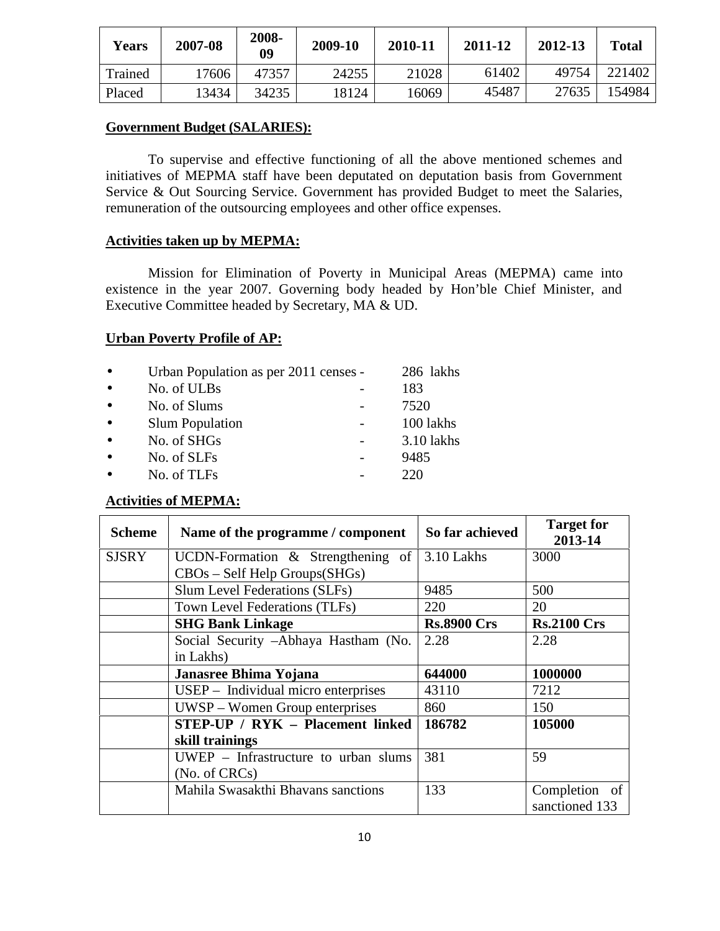| <b>Years</b> | 2007-08 | 2008-<br>09 | 2009-10 | 2010-11 | 2011-12 | 2012-13 | <b>Total</b> |
|--------------|---------|-------------|---------|---------|---------|---------|--------------|
| Trained      | 17606   | 47357       | 24255   | 21028   | 61402   | 49754   | 221402       |
| Placed       | 13434   | 34235       | 18124   | 16069   | 45487   | 27635   | 154984       |

#### **Government Budget (SALARIES):**

To supervise and effective functioning of all the above mentioned schemes and initiatives of MEPMA staff have been deputated on deputation basis from Government Service & Out Sourcing Service. Government has provided Budget to meet the Salaries, remuneration of the outsourcing employees and other office expenses.

#### **Activities taken up by MEPMA:**

Mission for Elimination of Poverty in Municipal Areas (MEPMA) came into existence in the year 2007. Governing body headed by Hon'ble Chief Minister, and Executive Committee headed by Secretary, MA & UD.

#### **Urban Poverty Profile of AP:**

| $\bullet$ | Urban Population as per 2011 censes - | 286 lakhs    |
|-----------|---------------------------------------|--------------|
| $\bullet$ | No. of ULBs                           | 183          |
| $\bullet$ | No. of Slums                          | 7520         |
| $\bullet$ | <b>Slum Population</b>                | 100 lakhs    |
| $\bullet$ | No. of SHGs                           | $3.10$ lakhs |
| $\bullet$ | No. of SLFs                           | 9485         |
| $\bullet$ | No. of TLFs                           | 220          |

#### **Activities of MEPMA:**

| <b>Scheme</b> | Name of the programme / component       | So far achieved    | <b>Target for</b><br>2013-14 |
|---------------|-----------------------------------------|--------------------|------------------------------|
| SJSRY         | UCDN-Formation $\&$ Strengthening of    | 3.10 Lakhs         | 3000                         |
|               | CBOs - Self Help Groups(SHGs)           |                    |                              |
|               | Slum Level Federations (SLFs)           | 9485               | 500                          |
|               | Town Level Federations (TLFs)           | 220                | 20                           |
|               | <b>SHG Bank Linkage</b>                 | <b>Rs.8900 Crs</b> | <b>Rs.2100 Crs</b>           |
|               | Social Security -Abhaya Hastham (No.    | 2.28               | 2.28                         |
|               | in Lakhs)                               |                    |                              |
|               | Janasree Bhima Yojana                   | 644000             | 1000000                      |
|               | USEP – Individual micro enterprises     | 43110              | 7212                         |
|               | $UWSP - Women Group$ enterprises        | 860                | 150                          |
|               | <b>STEP-UP / RYK - Placement linked</b> | 186782             | 105000                       |
|               | skill trainings                         |                    |                              |
|               | UWEP - Infrastructure to urban slums    | 381                | 59                           |
|               | (No. of CRCs)                           |                    |                              |
|               | Mahila Swasakthi Bhavans sanctions      | 133                | Completion of                |
|               |                                         |                    | sanctioned 133               |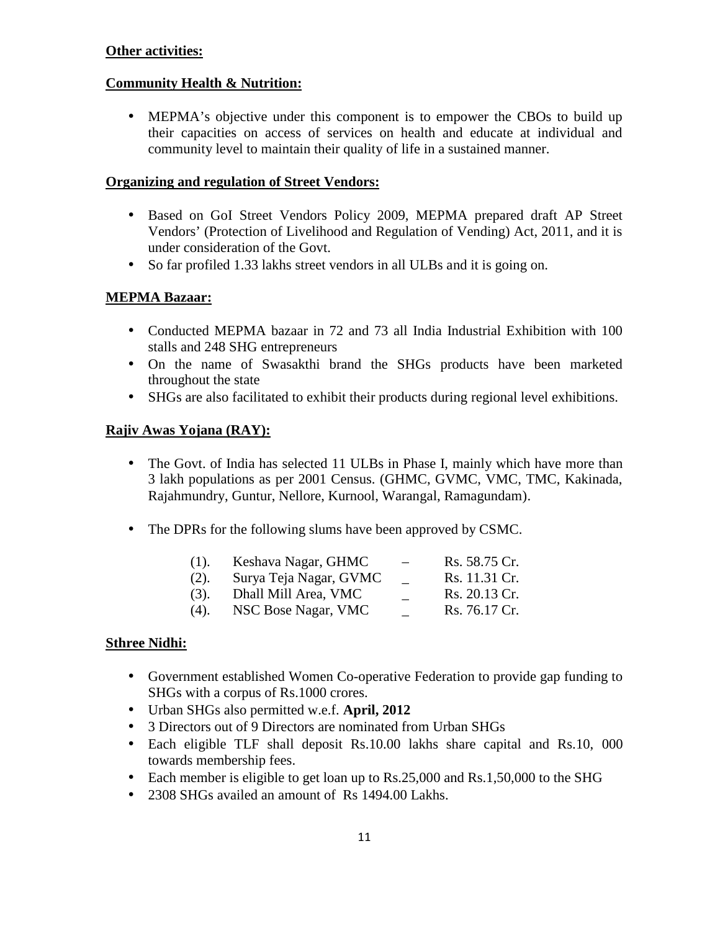### **Other activities:**

### **Community Health & Nutrition:**

 MEPMA's objective under this component is to empower the CBOs to build up their capacities on access of services on health and educate at individual and community level to maintain their quality of life in a sustained manner.

#### **Organizing and regulation of Street Vendors:**

- Based on GoI Street Vendors Policy 2009, MEPMA prepared draft AP Street Vendors' (Protection of Livelihood and Regulation of Vending) Act, 2011, and it is under consideration of the Govt.
- So far profiled 1.33 lakhs street vendors in all ULBs and it is going on.

### **MEPMA Bazaar:**

- Conducted MEPMA bazaar in 72 and 73 all India Industrial Exhibition with 100 stalls and 248 SHG entrepreneurs
- On the name of Swasakthi brand the SHGs products have been marketed throughout the state
- SHGs are also facilitated to exhibit their products during regional level exhibitions.

### **Rajiv Awas Yojana (RAY):**

- The Govt. of India has selected 11 ULBs in Phase I, mainly which have more than 3 lakh populations as per 2001 Census. (GHMC, GVMC, VMC, TMC, Kakinada, Rajahmundry, Guntur, Nellore, Kurnool, Warangal, Ramagundam).
- The DPRs for the following slums have been approved by CSMC.

| $(1)$ . | Keshava Nagar, GHMC    | Rs. 58.75 Cr. |
|---------|------------------------|---------------|
| (2).    | Surya Teja Nagar, GVMC | Rs. 11.31 Cr. |
| $(3)$ . | Dhall Mill Area, VMC   | Rs. 20.13 Cr. |
| $(4)$ . | NSC Bose Nagar, VMC    | Rs. 76.17 Cr. |

#### **Sthree Nidhi:**

- Government established Women Co-operative Federation to provide gap funding to SHGs with a corpus of Rs.1000 crores.
- Urban SHGs also permitted w.e.f. **April, 2012**
- 3 Directors out of 9 Directors are nominated from Urban SHGs
- Each eligible TLF shall deposit Rs.10.00 lakhs share capital and Rs.10, 000 towards membership fees.
- Each member is eligible to get loan up to Rs.25,000 and Rs.1,50,000 to the SHG
- 2308 SHGs availed an amount of Rs 1494.00 Lakhs.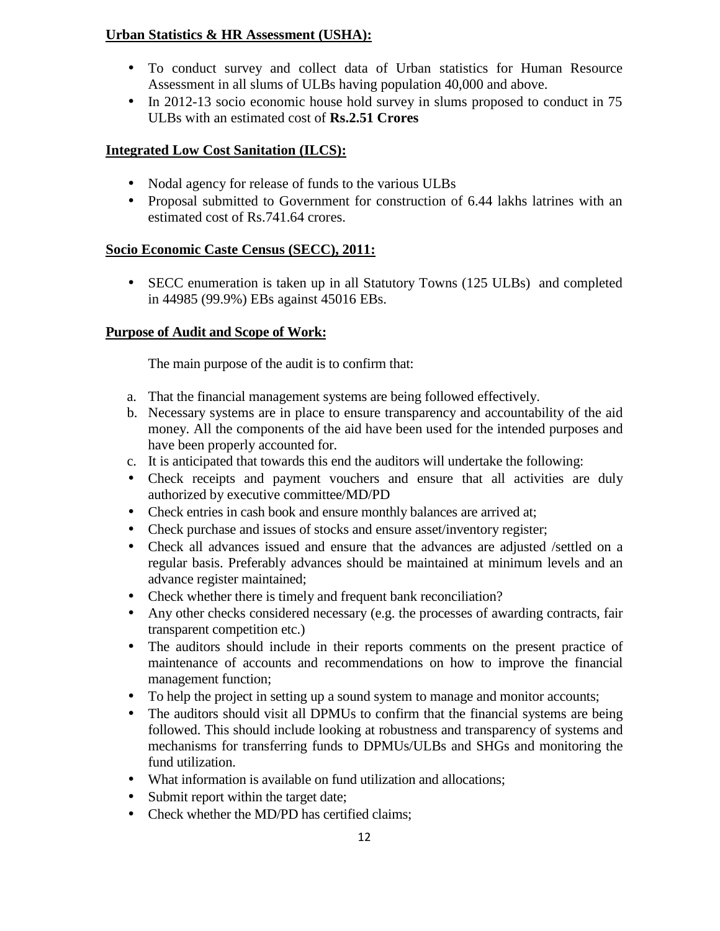### **Urban Statistics & HR Assessment (USHA):**

- To conduct survey and collect data of Urban statistics for Human Resource Assessment in all slums of ULBs having population 40,000 and above.
- In 2012-13 socio economic house hold survey in slums proposed to conduct in 75 ULBs with an estimated cost of **Rs.2.51 Crores**

### **Integrated Low Cost Sanitation (ILCS):**

- Nodal agency for release of funds to the various ULBs
- Proposal submitted to Government for construction of 6.44 lakhs latrines with an estimated cost of Rs.741.64 crores.

### **Socio Economic Caste Census (SECC), 2011:**

• SECC enumeration is taken up in all Statutory Towns (125 ULBs) and completed in 44985 (99.9%) EBs against 45016 EBs.

### **Purpose of Audit and Scope of Work:**

The main purpose of the audit is to confirm that:

- a. That the financial management systems are being followed effectively.
- b. Necessary systems are in place to ensure transparency and accountability of the aid money. All the components of the aid have been used for the intended purposes and have been properly accounted for.
- c. It is anticipated that towards this end the auditors will undertake the following:
- Check receipts and payment vouchers and ensure that all activities are duly authorized by executive committee/MD/PD
- Check entries in cash book and ensure monthly balances are arrived at;
- Check purchase and issues of stocks and ensure asset/inventory register;
- Check all advances issued and ensure that the advances are adjusted /settled on a regular basis. Preferably advances should be maintained at minimum levels and an advance register maintained;
- Check whether there is timely and frequent bank reconciliation?
- Any other checks considered necessary (e.g. the processes of awarding contracts, fair transparent competition etc.)
- The auditors should include in their reports comments on the present practice of maintenance of accounts and recommendations on how to improve the financial management function;
- To help the project in setting up a sound system to manage and monitor accounts;
- The auditors should visit all DPMUs to confirm that the financial systems are being followed. This should include looking at robustness and transparency of systems and mechanisms for transferring funds to DPMUs/ULBs and SHGs and monitoring the fund utilization.
- What information is available on fund utilization and allocations;
- Submit report within the target date;
- Check whether the MD/PD has certified claims: